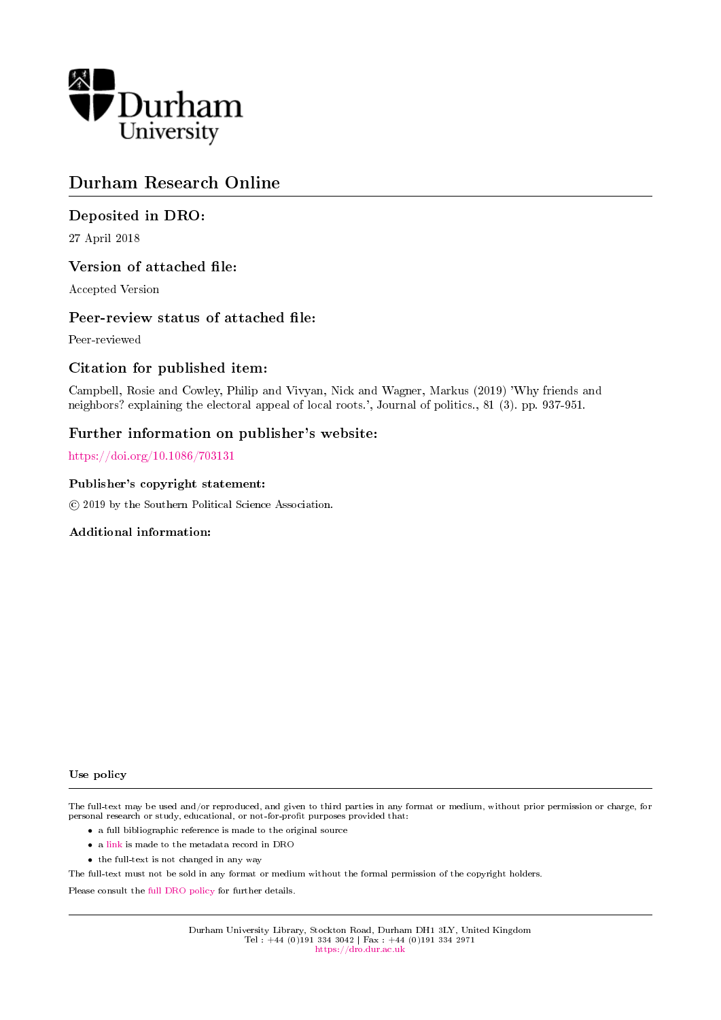

# Durham Research Online

# Deposited in DRO:

27 April 2018

# Version of attached file:

Accepted Version

# Peer-review status of attached file:

Peer-reviewed

# Citation for published item:

Campbell, Rosie and Cowley, Philip and Vivyan, Nick and Wagner, Markus (2019) 'Why friends and neighbors? explaining the electoral appeal of local roots.', Journal of politics., 81 (3). pp. 937-951.

# Further information on publisher's website:

<https://doi.org/10.1086/703131>

## Publisher's copyright statement:

c 2019 by the Southern Political Science Association.

## Additional information:

#### Use policy

The full-text may be used and/or reproduced, and given to third parties in any format or medium, without prior permission or charge, for personal research or study, educational, or not-for-profit purposes provided that:

- a full bibliographic reference is made to the original source
- a [link](http://dro.dur.ac.uk/24705/) is made to the metadata record in DRO
- the full-text is not changed in any way

The full-text must not be sold in any format or medium without the formal permission of the copyright holders.

Please consult the [full DRO policy](https://dro.dur.ac.uk/policies/usepolicy.pdf) for further details.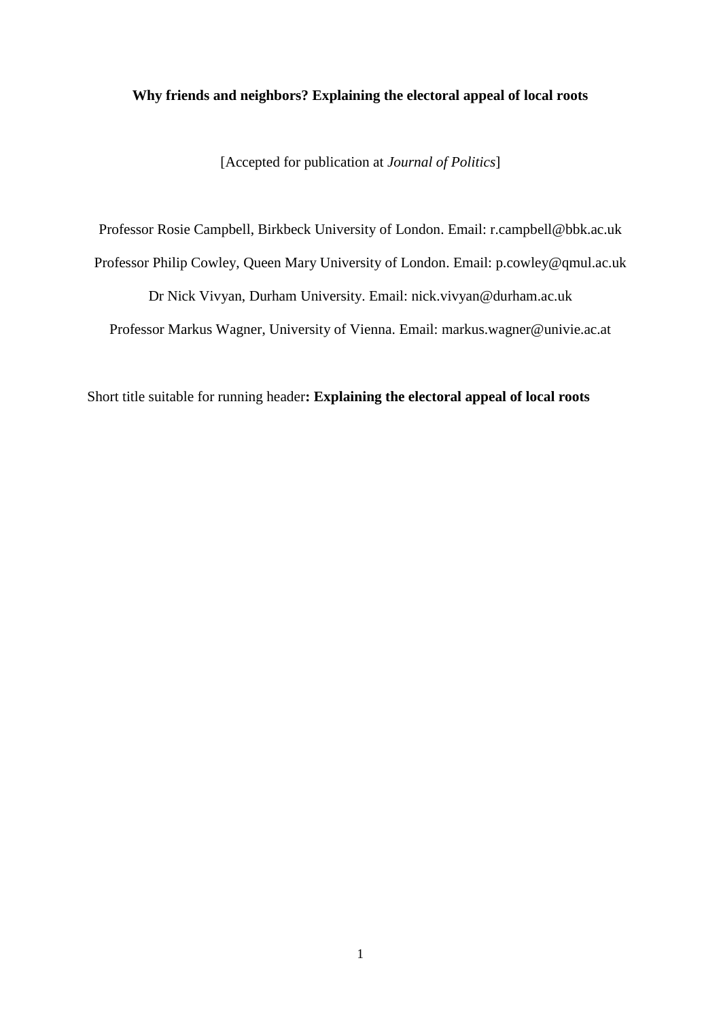## **Why friends and neighbors? Explaining the electoral appeal of local roots**

[Accepted for publication at *Journal of Politics*]

Professor Rosie Campbell, Birkbeck University of London. Email: r.campbell@bbk.ac.uk Professor Philip Cowley, Queen Mary University of London. Email: p.cowley@qmul.ac.uk Dr Nick Vivyan, Durham University. Email: nick.vivyan@durham.ac.uk Professor Markus Wagner, University of Vienna. Email: markus.wagner@univie.ac.at

Short title suitable for running header**: Explaining the electoral appeal of local roots**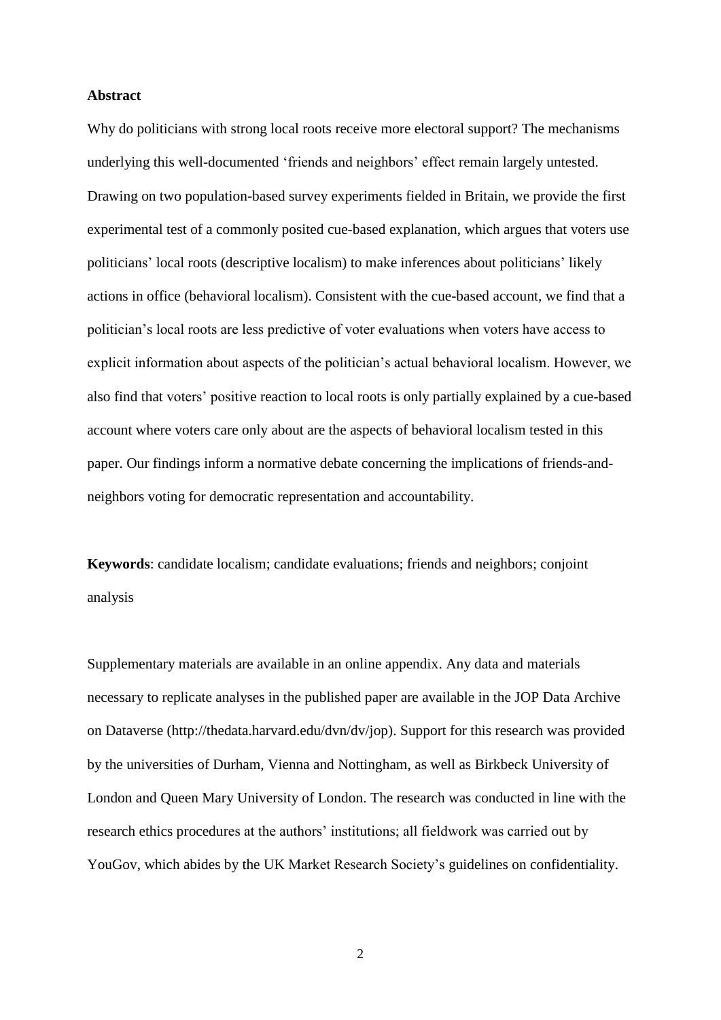## **Abstract**

Why do politicians with strong local roots receive more electoral support? The mechanisms underlying this well-documented 'friends and neighbors' effect remain largely untested. Drawing on two population-based survey experiments fielded in Britain, we provide the first experimental test of a commonly posited cue-based explanation, which argues that voters use politicians' local roots (descriptive localism) to make inferences about politicians' likely actions in office (behavioral localism). Consistent with the cue-based account, we find that a politician's local roots are less predictive of voter evaluations when voters have access to explicit information about aspects of the politician's actual behavioral localism. However, we also find that voters' positive reaction to local roots is only partially explained by a cue-based account where voters care only about are the aspects of behavioral localism tested in this paper. Our findings inform a normative debate concerning the implications of friends-andneighbors voting for democratic representation and accountability.

**Keywords**: candidate localism; candidate evaluations; friends and neighbors; conjoint analysis

Supplementary materials are available in an online appendix. Any data and materials necessary to replicate analyses in the published paper are available in the JOP Data Archive on Dataverse (http://thedata.harvard.edu/dvn/dv/jop). Support for this research was provided by the universities of Durham, Vienna and Nottingham, as well as Birkbeck University of London and Queen Mary University of London. The research was conducted in line with the research ethics procedures at the authors' institutions; all fieldwork was carried out by YouGov, which abides by the UK Market Research Society's guidelines on confidentiality.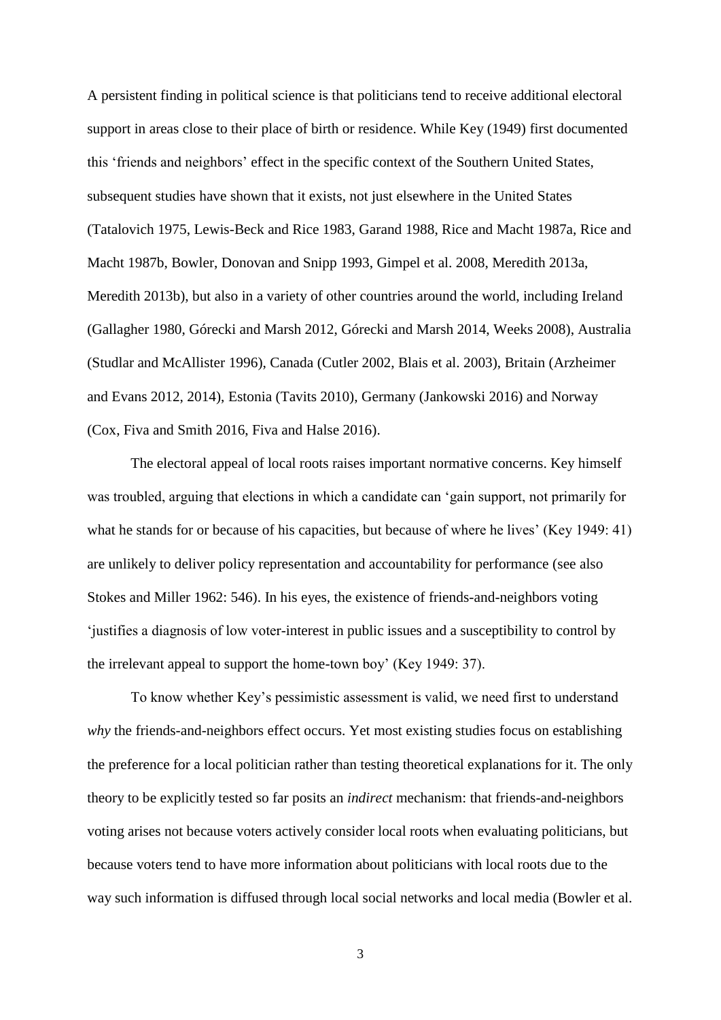A persistent finding in political science is that politicians tend to receive additional electoral support in areas close to their place of birth or residence. While Key (1949) first documented this 'friends and neighbors' effect in the specific context of the Southern United States, subsequent studies have shown that it exists, not just elsewhere in the United States (Tatalovich 1975, Lewis-Beck and Rice 1983, Garand 1988, Rice and Macht 1987a, Rice and Macht 1987b, Bowler, Donovan and Snipp 1993, Gimpel et al. 2008, Meredith 2013a, Meredith 2013b), but also in a variety of other countries around the world, including Ireland (Gallagher 1980, Górecki and Marsh 2012, Górecki and Marsh 2014, Weeks 2008), Australia (Studlar and McAllister 1996), Canada (Cutler 2002, Blais et al. 2003), Britain (Arzheimer and Evans 2012, 2014), Estonia (Tavits 2010), Germany (Jankowski 2016) and Norway (Cox, Fiva and Smith 2016, Fiva and Halse 2016).

The electoral appeal of local roots raises important normative concerns. Key himself was troubled, arguing that elections in which a candidate can 'gain support, not primarily for what he stands for or because of his capacities, but because of where he lives' (Key 1949: 41) are unlikely to deliver policy representation and accountability for performance (see also Stokes and Miller 1962: 546). In his eyes, the existence of friends-and-neighbors voting 'justifies a diagnosis of low voter-interest in public issues and a susceptibility to control by the irrelevant appeal to support the home-town boy' (Key 1949: 37).

To know whether Key's pessimistic assessment is valid, we need first to understand *why* the friends-and-neighbors effect occurs. Yet most existing studies focus on establishing the preference for a local politician rather than testing theoretical explanations for it. The only theory to be explicitly tested so far posits an *indirect* mechanism: that friends-and-neighbors voting arises not because voters actively consider local roots when evaluating politicians, but because voters tend to have more information about politicians with local roots due to the way such information is diffused through local social networks and local media (Bowler et al.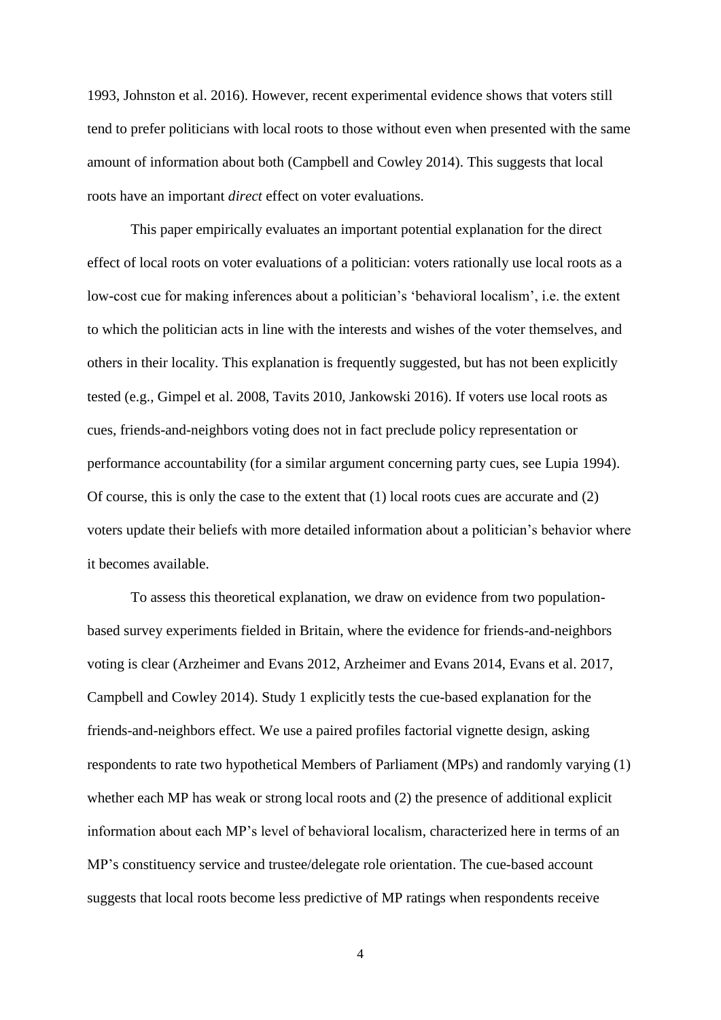1993, Johnston et al. 2016). However, recent experimental evidence shows that voters still tend to prefer politicians with local roots to those without even when presented with the same amount of information about both (Campbell and Cowley 2014). This suggests that local roots have an important *direct* effect on voter evaluations.

This paper empirically evaluates an important potential explanation for the direct effect of local roots on voter evaluations of a politician: voters rationally use local roots as a low-cost cue for making inferences about a politician's 'behavioral localism', i.e. the extent to which the politician acts in line with the interests and wishes of the voter themselves, and others in their locality. This explanation is frequently suggested, but has not been explicitly tested (e.g., Gimpel et al. 2008, Tavits 2010, Jankowski 2016). If voters use local roots as cues, friends-and-neighbors voting does not in fact preclude policy representation or performance accountability (for a similar argument concerning party cues, see Lupia 1994). Of course, this is only the case to the extent that (1) local roots cues are accurate and (2) voters update their beliefs with more detailed information about a politician's behavior where it becomes available.

To assess this theoretical explanation, we draw on evidence from two populationbased survey experiments fielded in Britain, where the evidence for friends-and-neighbors voting is clear (Arzheimer and Evans 2012, Arzheimer and Evans 2014, Evans et al. 2017, Campbell and Cowley 2014). Study 1 explicitly tests the cue-based explanation for the friends-and-neighbors effect. We use a paired profiles factorial vignette design, asking respondents to rate two hypothetical Members of Parliament (MPs) and randomly varying (1) whether each MP has weak or strong local roots and (2) the presence of additional explicit information about each MP's level of behavioral localism, characterized here in terms of an MP's constituency service and trustee/delegate role orientation. The cue-based account suggests that local roots become less predictive of MP ratings when respondents receive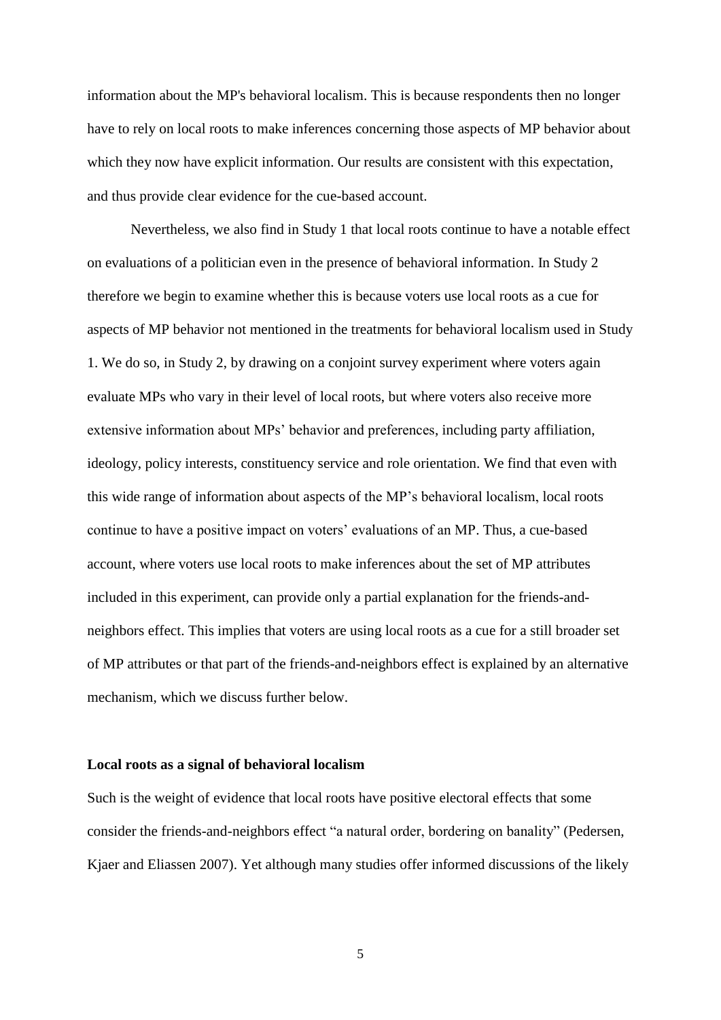information about the MP's behavioral localism. This is because respondents then no longer have to rely on local roots to make inferences concerning those aspects of MP behavior about which they now have explicit information. Our results are consistent with this expectation, and thus provide clear evidence for the cue-based account.

Nevertheless, we also find in Study 1 that local roots continue to have a notable effect on evaluations of a politician even in the presence of behavioral information. In Study 2 therefore we begin to examine whether this is because voters use local roots as a cue for aspects of MP behavior not mentioned in the treatments for behavioral localism used in Study 1. We do so, in Study 2, by drawing on a conjoint survey experiment where voters again evaluate MPs who vary in their level of local roots, but where voters also receive more extensive information about MPs' behavior and preferences, including party affiliation, ideology, policy interests, constituency service and role orientation. We find that even with this wide range of information about aspects of the MP's behavioral localism, local roots continue to have a positive impact on voters' evaluations of an MP. Thus, a cue-based account, where voters use local roots to make inferences about the set of MP attributes included in this experiment, can provide only a partial explanation for the friends-andneighbors effect. This implies that voters are using local roots as a cue for a still broader set of MP attributes or that part of the friends-and-neighbors effect is explained by an alternative mechanism, which we discuss further below.

## **Local roots as a signal of behavioral localism**

Such is the weight of evidence that local roots have positive electoral effects that some consider the friends-and-neighbors effect "a natural order, bordering on banality" (Pedersen, Kjaer and Eliassen 2007). Yet although many studies offer informed discussions of the likely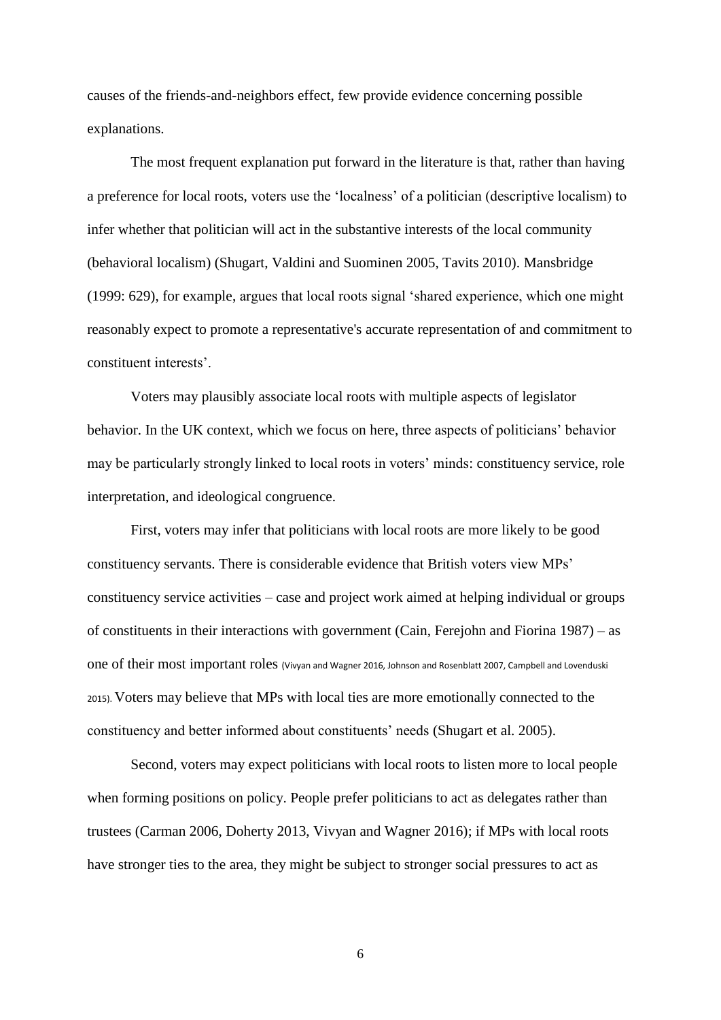causes of the friends-and-neighbors effect, few provide evidence concerning possible explanations.

The most frequent explanation put forward in the literature is that, rather than having a preference for local roots, voters use the 'localness' of a politician (descriptive localism) to infer whether that politician will act in the substantive interests of the local community (behavioral localism) (Shugart, Valdini and Suominen 2005, Tavits 2010). Mansbridge (1999: 629), for example, argues that local roots signal 'shared experience, which one might reasonably expect to promote a representative's accurate representation of and commitment to constituent interests'.

Voters may plausibly associate local roots with multiple aspects of legislator behavior. In the UK context, which we focus on here, three aspects of politicians' behavior may be particularly strongly linked to local roots in voters' minds: constituency service, role interpretation, and ideological congruence.

First, voters may infer that politicians with local roots are more likely to be good constituency servants. There is considerable evidence that British voters view MPs' constituency service activities – case and project work aimed at helping individual or groups of constituents in their interactions with government (Cain, Ferejohn and Fiorina 1987) – as one of their most important roles (Vivyan and Wagner 2016, Johnson and Rosenblatt 2007, Campbell and Lovenduski 2015). Voters may believe that MPs with local ties are more emotionally connected to the constituency and better informed about constituents' needs (Shugart et al. 2005).

Second, voters may expect politicians with local roots to listen more to local people when forming positions on policy. People prefer politicians to act as delegates rather than trustees (Carman 2006, Doherty 2013, Vivyan and Wagner 2016); if MPs with local roots have stronger ties to the area, they might be subject to stronger social pressures to act as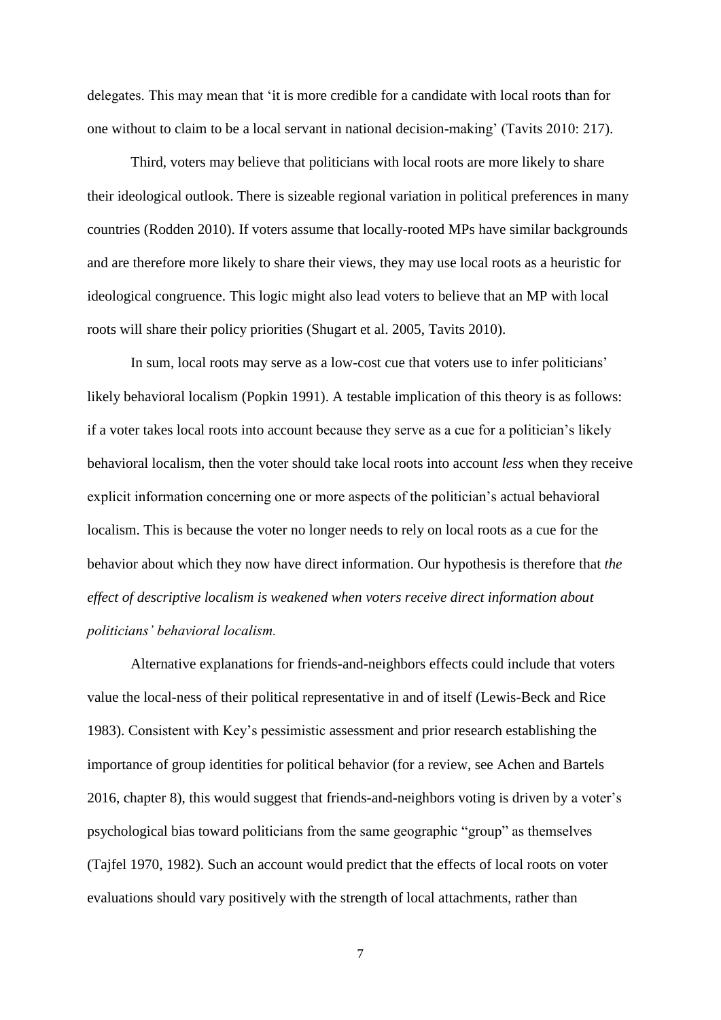delegates. This may mean that 'it is more credible for a candidate with local roots than for one without to claim to be a local servant in national decision-making' (Tavits 2010: 217).

Third, voters may believe that politicians with local roots are more likely to share their ideological outlook. There is sizeable regional variation in political preferences in many countries (Rodden 2010). If voters assume that locally-rooted MPs have similar backgrounds and are therefore more likely to share their views, they may use local roots as a heuristic for ideological congruence. This logic might also lead voters to believe that an MP with local roots will share their policy priorities (Shugart et al. 2005, Tavits 2010).

In sum, local roots may serve as a low-cost cue that voters use to infer politicians' likely behavioral localism (Popkin 1991). A testable implication of this theory is as follows: if a voter takes local roots into account because they serve as a cue for a politician's likely behavioral localism, then the voter should take local roots into account *less* when they receive explicit information concerning one or more aspects of the politician's actual behavioral localism. This is because the voter no longer needs to rely on local roots as a cue for the behavior about which they now have direct information. Our hypothesis is therefore that *the effect of descriptive localism is weakened when voters receive direct information about politicians' behavioral localism.*

Alternative explanations for friends-and-neighbors effects could include that voters value the local-ness of their political representative in and of itself (Lewis-Beck and Rice 1983). Consistent with Key's pessimistic assessment and prior research establishing the importance of group identities for political behavior (for a review, see Achen and Bartels 2016, chapter 8), this would suggest that friends-and-neighbors voting is driven by a voter's psychological bias toward politicians from the same geographic "group" as themselves (Tajfel 1970, 1982). Such an account would predict that the effects of local roots on voter evaluations should vary positively with the strength of local attachments, rather than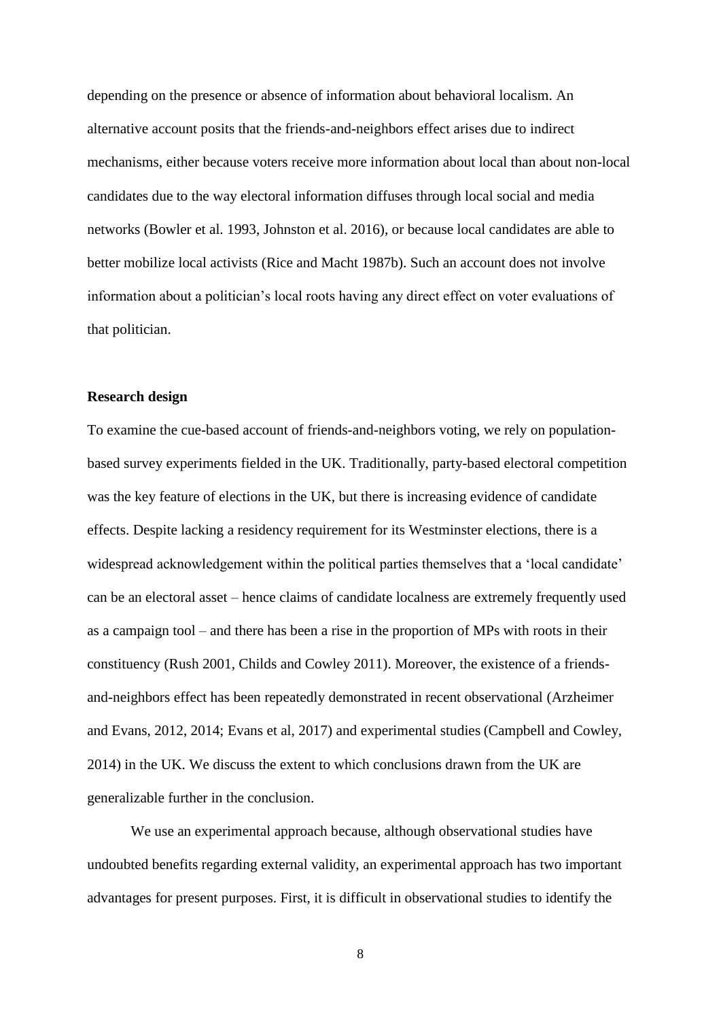depending on the presence or absence of information about behavioral localism. An alternative account posits that the friends-and-neighbors effect arises due to indirect mechanisms, either because voters receive more information about local than about non-local candidates due to the way electoral information diffuses through local social and media networks (Bowler et al. 1993, Johnston et al. 2016), or because local candidates are able to better mobilize local activists (Rice and Macht 1987b). Such an account does not involve information about a politician's local roots having any direct effect on voter evaluations of that politician.

## **Research design**

To examine the cue-based account of friends-and-neighbors voting, we rely on populationbased survey experiments fielded in the UK. Traditionally, party-based electoral competition was the key feature of elections in the UK, but there is increasing evidence of candidate effects. Despite lacking a residency requirement for its Westminster elections, there is a widespread acknowledgement within the political parties themselves that a 'local candidate' can be an electoral asset – hence claims of candidate localness are extremely frequently used as a campaign tool – and there has been a rise in the proportion of MPs with roots in their constituency (Rush 2001, Childs and Cowley 2011). Moreover, the existence of a friendsand-neighbors effect has been repeatedly demonstrated in recent observational (Arzheimer and Evans, 2012, 2014; Evans et al, 2017) and experimental studies (Campbell and Cowley, 2014) in the UK. We discuss the extent to which conclusions drawn from the UK are generalizable further in the conclusion.

We use an experimental approach because, although observational studies have undoubted benefits regarding external validity, an experimental approach has two important advantages for present purposes. First, it is difficult in observational studies to identify the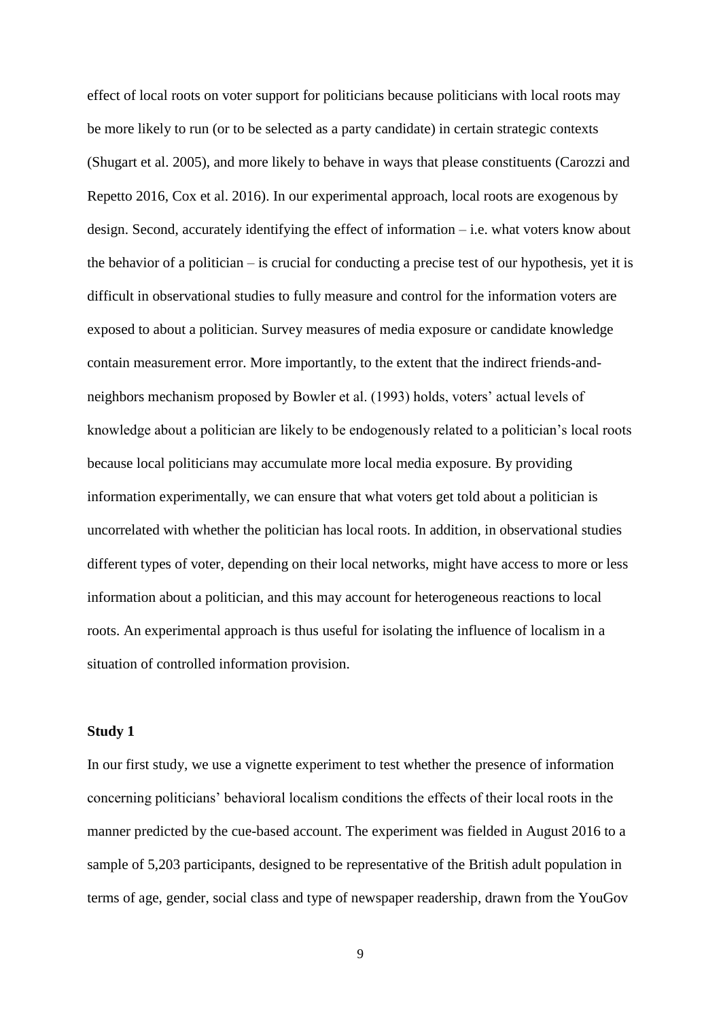effect of local roots on voter support for politicians because politicians with local roots may be more likely to run (or to be selected as a party candidate) in certain strategic contexts (Shugart et al. 2005), and more likely to behave in ways that please constituents (Carozzi and Repetto 2016, Cox et al. 2016). In our experimental approach, local roots are exogenous by design. Second, accurately identifying the effect of information – i.e. what voters know about the behavior of a politician – is crucial for conducting a precise test of our hypothesis, yet it is difficult in observational studies to fully measure and control for the information voters are exposed to about a politician. Survey measures of media exposure or candidate knowledge contain measurement error. More importantly, to the extent that the indirect friends-andneighbors mechanism proposed by Bowler et al. (1993) holds, voters' actual levels of knowledge about a politician are likely to be endogenously related to a politician's local roots because local politicians may accumulate more local media exposure. By providing information experimentally, we can ensure that what voters get told about a politician is uncorrelated with whether the politician has local roots. In addition, in observational studies different types of voter, depending on their local networks, might have access to more or less information about a politician, and this may account for heterogeneous reactions to local roots. An experimental approach is thus useful for isolating the influence of localism in a situation of controlled information provision.

#### **Study 1**

In our first study, we use a vignette experiment to test whether the presence of information concerning politicians' behavioral localism conditions the effects of their local roots in the manner predicted by the cue-based account. The experiment was fielded in August 2016 to a sample of 5,203 participants, designed to be representative of the British adult population in terms of age, gender, social class and type of newspaper readership, drawn from the YouGov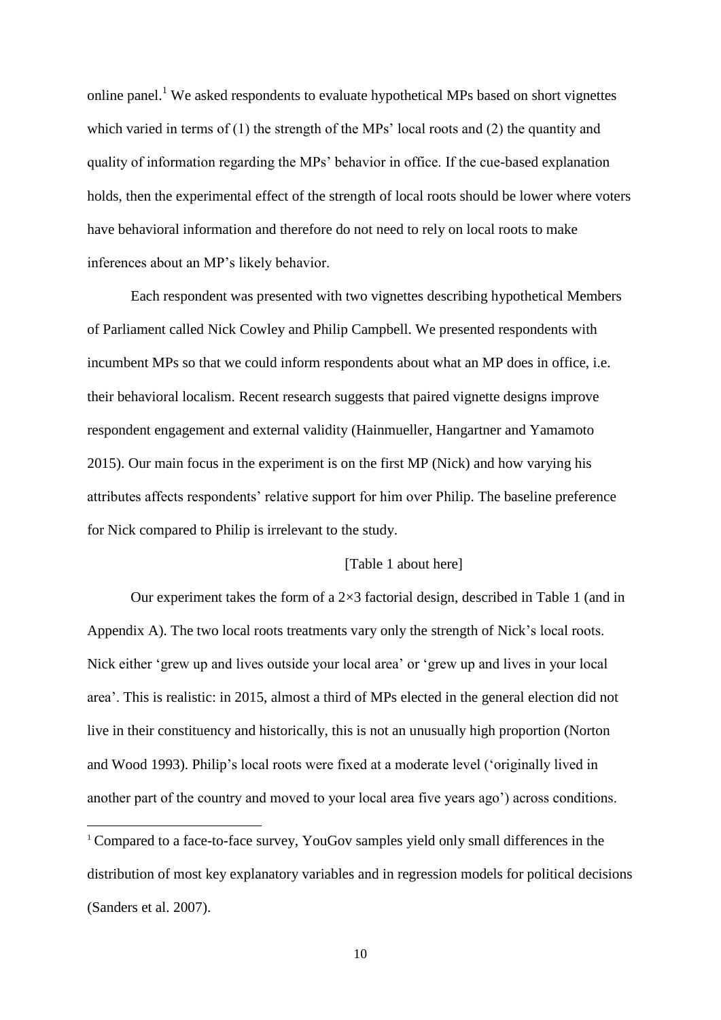online panel.<sup>1</sup> We asked respondents to evaluate hypothetical MPs based on short vignettes which varied in terms of (1) the strength of the MPs' local roots and (2) the quantity and quality of information regarding the MPs' behavior in office. If the cue-based explanation holds, then the experimental effect of the strength of local roots should be lower where voters have behavioral information and therefore do not need to rely on local roots to make inferences about an MP's likely behavior.

Each respondent was presented with two vignettes describing hypothetical Members of Parliament called Nick Cowley and Philip Campbell. We presented respondents with incumbent MPs so that we could inform respondents about what an MP does in office, i.e. their behavioral localism. Recent research suggests that paired vignette designs improve respondent engagement and external validity (Hainmueller, Hangartner and Yamamoto 2015). Our main focus in the experiment is on the first MP (Nick) and how varying his attributes affects respondents' relative support for him over Philip. The baseline preference for Nick compared to Philip is irrelevant to the study.

## [Table 1 about here]

Our experiment takes the form of a  $2\times3$  factorial design, described in Table 1 (and in Appendix A). The two local roots treatments vary only the strength of Nick's local roots. Nick either 'grew up and lives outside your local area' or 'grew up and lives in your local area'. This is realistic: in 2015, almost a third of MPs elected in the general election did not live in their constituency and historically, this is not an unusually high proportion (Norton and Wood 1993). Philip's local roots were fixed at a moderate level ('originally lived in another part of the country and moved to your local area five years ago') across conditions.

 $\overline{a}$ 

<sup>&</sup>lt;sup>1</sup> Compared to a face-to-face survey, YouGov samples yield only small differences in the distribution of most key explanatory variables and in regression models for political decisions (Sanders et al. 2007).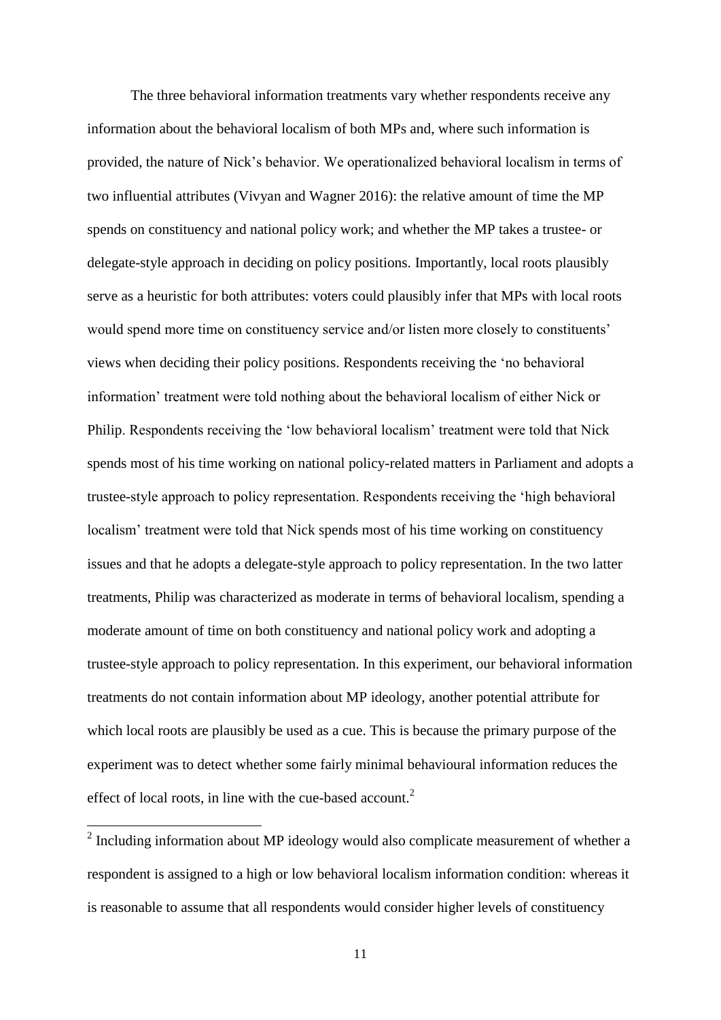The three behavioral information treatments vary whether respondents receive any information about the behavioral localism of both MPs and, where such information is provided, the nature of Nick's behavior. We operationalized behavioral localism in terms of two influential attributes (Vivyan and Wagner 2016): the relative amount of time the MP spends on constituency and national policy work; and whether the MP takes a trustee- or delegate-style approach in deciding on policy positions. Importantly, local roots plausibly serve as a heuristic for both attributes: voters could plausibly infer that MPs with local roots would spend more time on constituency service and/or listen more closely to constituents' views when deciding their policy positions. Respondents receiving the 'no behavioral information' treatment were told nothing about the behavioral localism of either Nick or Philip. Respondents receiving the 'low behavioral localism' treatment were told that Nick spends most of his time working on national policy-related matters in Parliament and adopts a trustee-style approach to policy representation. Respondents receiving the 'high behavioral localism' treatment were told that Nick spends most of his time working on constituency issues and that he adopts a delegate-style approach to policy representation. In the two latter treatments, Philip was characterized as moderate in terms of behavioral localism, spending a moderate amount of time on both constituency and national policy work and adopting a trustee-style approach to policy representation. In this experiment, our behavioral information treatments do not contain information about MP ideology, another potential attribute for which local roots are plausibly be used as a cue. This is because the primary purpose of the experiment was to detect whether some fairly minimal behavioural information reduces the effect of local roots, in line with the cue-based account. $2$ 

 $2$  Including information about MP ideology would also complicate measurement of whether a respondent is assigned to a high or low behavioral localism information condition: whereas it is reasonable to assume that all respondents would consider higher levels of constituency

 $\overline{a}$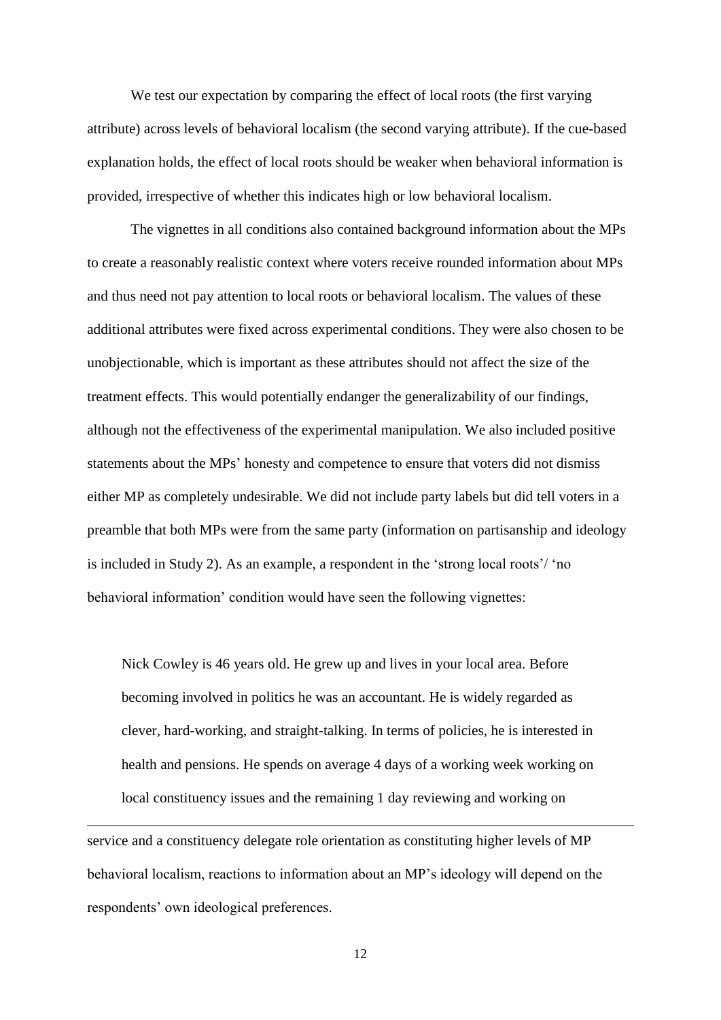We test our expectation by comparing the effect of local roots (the first varying attribute) across levels of behavioral localism (the second varying attribute). If the cue-based explanation holds, the effect of local roots should be weaker when behavioral information is provided, irrespective of whether this indicates high or low behavioral localism.

The vignettes in all conditions also contained background information about the MPs to create a reasonably realistic context where voters receive rounded information about MPs and thus need not pay attention to local roots or behavioral localism. The values of these additional attributes were fixed across experimental conditions. They were also chosen to be unobjectionable, which is important as these attributes should not affect the size of the treatment effects. This would potentially endanger the generalizability of our findings, although not the effectiveness of the experimental manipulation. We also included positive statements about the MPs' honesty and competence to ensure that voters did not dismiss either MP as completely undesirable. We did not include party labels but did tell voters in a preamble that both MPs were from the same party (information on partisanship and ideology is included in Study 2). As an example, a respondent in the 'strong local roots'/ 'no behavioral information' condition would have seen the following vignettes:

Nick Cowley is 46 years old. He grew up and lives in your local area. Before becoming involved in politics he was an accountant. He is widely regarded as clever, hard-working, and straight-talking. In terms of policies, he is interested in health and pensions. He spends on average 4 days of a working week working on local constituency issues and the remaining 1 day reviewing and working on

service and a constituency delegate role orientation as constituting higher levels of MP behavioral localism, reactions to information about an MP's ideology will depend on the respondents' own ideological preferences.

 $\overline{a}$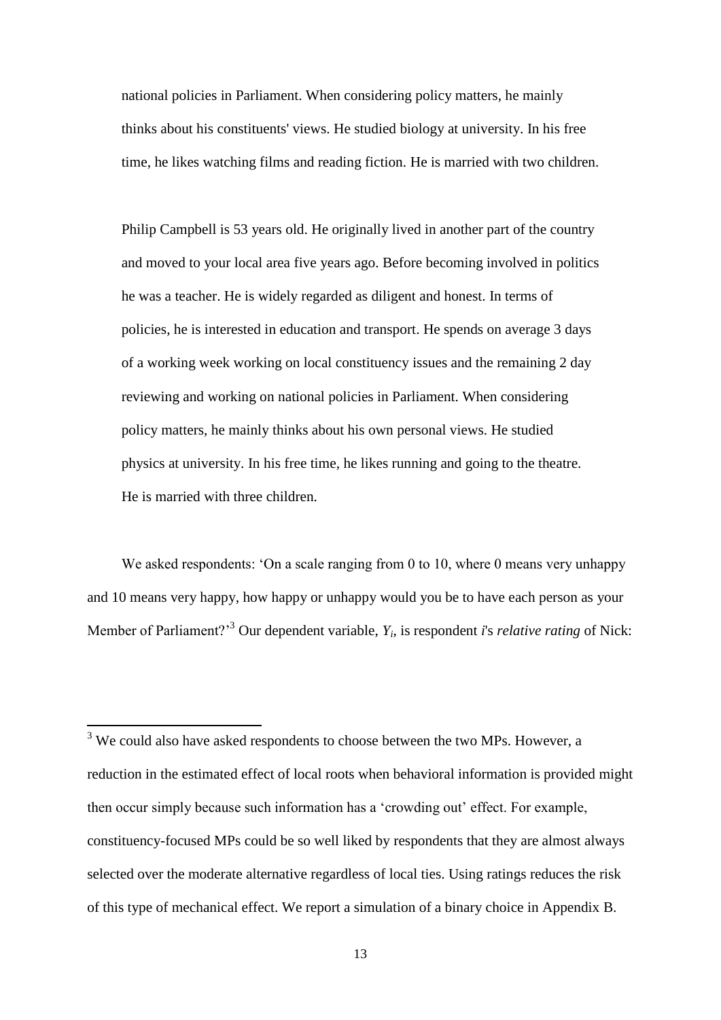national policies in Parliament. When considering policy matters, he mainly thinks about his constituents' views. He studied biology at university. In his free time, he likes watching films and reading fiction. He is married with two children.

Philip Campbell is 53 years old. He originally lived in another part of the country and moved to your local area five years ago. Before becoming involved in politics he was a teacher. He is widely regarded as diligent and honest. In terms of policies, he is interested in education and transport. He spends on average 3 days of a working week working on local constituency issues and the remaining 2 day reviewing and working on national policies in Parliament. When considering policy matters, he mainly thinks about his own personal views. He studied physics at university. In his free time, he likes running and going to the theatre. He is married with three children.

We asked respondents: 'On a scale ranging from 0 to 10, where 0 means very unhappy and 10 means very happy, how happy or unhappy would you be to have each person as your Member of Parliament?<sup>3</sup> Our dependent variable,  $Y_i$ , is respondent *i*'s *relative rating* of Nick:

 $3$  We could also have asked respondents to choose between the two MPs. However, a reduction in the estimated effect of local roots when behavioral information is provided might then occur simply because such information has a 'crowding out' effect. For example, constituency-focused MPs could be so well liked by respondents that they are almost always selected over the moderate alternative regardless of local ties. Using ratings reduces the risk of this type of mechanical effect. We report a simulation of a binary choice in Appendix B.

 $\overline{a}$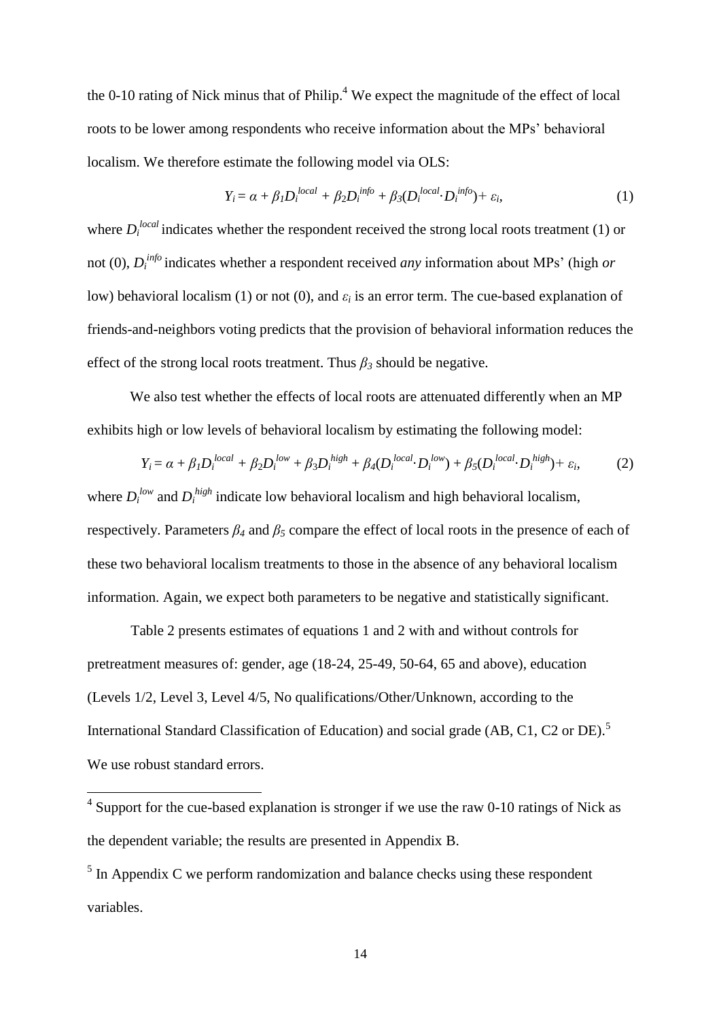the 0-10 rating of Nick minus that of Philip. $4$  We expect the magnitude of the effect of local roots to be lower among respondents who receive information about the MPs' behavioral localism. We therefore estimate the following model via OLS:

$$
Y_i = \alpha + \beta_1 D_i^{local} + \beta_2 D_i^{info} + \beta_3 (D_i^{local} \cdot D_i^{info}) + \varepsilon_i,
$$
\n(1)

where  $D_i^{local}$  indicates whether the respondent received the strong local roots treatment (1) or not (0), *D<sup>i</sup> info* indicates whether a respondent received *any* information about MPs' (high *or* low) behavioral localism (1) or not (0), and  $\varepsilon_i$  is an error term. The cue-based explanation of friends-and-neighbors voting predicts that the provision of behavioral information reduces the effect of the strong local roots treatment. Thus  $\beta_3$  should be negative.

We also test whether the effects of local roots are attenuated differently when an MP exhibits high or low levels of behavioral localism by estimating the following model:

$$
Y_i = \alpha + \beta_1 D_i^{local} + \beta_2 D_i^{low} + \beta_3 D_i^{high} + \beta_4 (D_i^{local} \cdot D_i^{low}) + \beta_5 (D_i^{local} \cdot D_i^{high}) + \varepsilon_i,
$$
 (2)

where  $D_i^{low}$  and  $D_i^{high}$  indicate low behavioral localism and high behavioral localism, respectively. Parameters *β<sup>4</sup>* and *β<sup>5</sup>* compare the effect of local roots in the presence of each of these two behavioral localism treatments to those in the absence of any behavioral localism information. Again, we expect both parameters to be negative and statistically significant.

Table 2 presents estimates of equations 1 and 2 with and without controls for pretreatment measures of: gender, age (18-24, 25-49, 50-64, 65 and above), education (Levels 1/2, Level 3, Level 4/5, No qualifications/Other/Unknown, according to the International Standard Classification of Education) and social grade (AB, C1, C2 or DE).<sup>5</sup> We use robust standard errors.

<sup>&</sup>lt;sup>4</sup> Support for the cue-based explanation is stronger if we use the raw 0-10 ratings of Nick as the dependent variable; the results are presented in Appendix B.

 $<sup>5</sup>$  In Appendix C we perform randomization and balance checks using these respondent</sup> variables.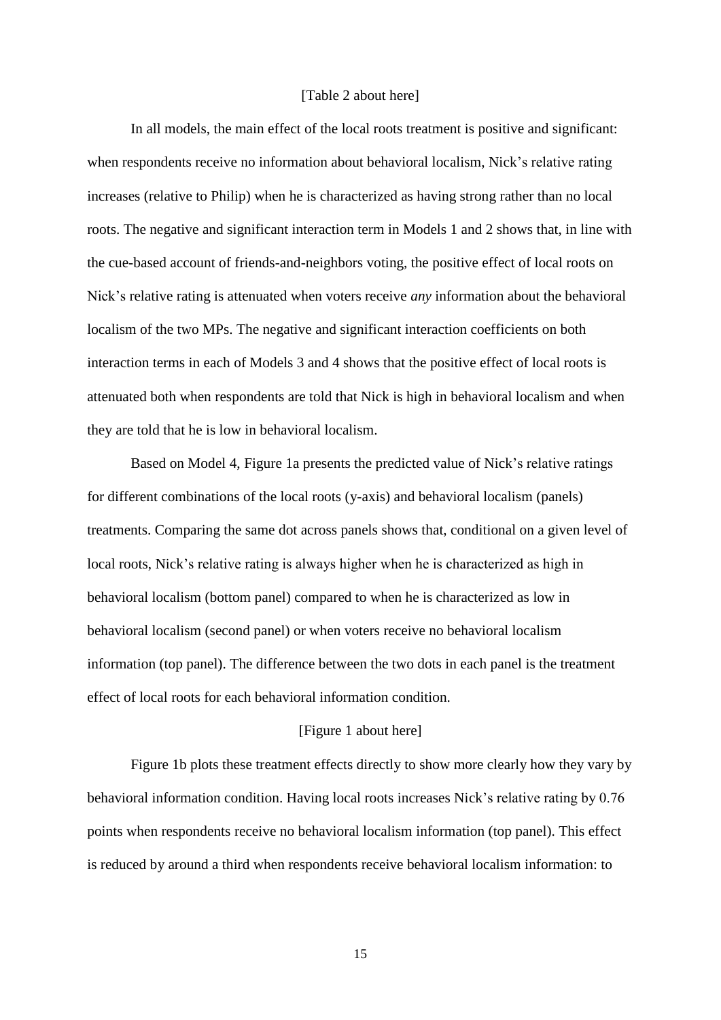#### [Table 2 about here]

In all models, the main effect of the local roots treatment is positive and significant: when respondents receive no information about behavioral localism, Nick's relative rating increases (relative to Philip) when he is characterized as having strong rather than no local roots. The negative and significant interaction term in Models 1 and 2 shows that, in line with the cue-based account of friends-and-neighbors voting, the positive effect of local roots on Nick's relative rating is attenuated when voters receive *any* information about the behavioral localism of the two MPs. The negative and significant interaction coefficients on both interaction terms in each of Models 3 and 4 shows that the positive effect of local roots is attenuated both when respondents are told that Nick is high in behavioral localism and when they are told that he is low in behavioral localism.

Based on Model 4, Figure 1a presents the predicted value of Nick's relative ratings for different combinations of the local roots (y-axis) and behavioral localism (panels) treatments. Comparing the same dot across panels shows that, conditional on a given level of local roots, Nick's relative rating is always higher when he is characterized as high in behavioral localism (bottom panel) compared to when he is characterized as low in behavioral localism (second panel) or when voters receive no behavioral localism information (top panel). The difference between the two dots in each panel is the treatment effect of local roots for each behavioral information condition.

#### [Figure 1 about here]

Figure 1b plots these treatment effects directly to show more clearly how they vary by behavioral information condition. Having local roots increases Nick's relative rating by 0.76 points when respondents receive no behavioral localism information (top panel). This effect is reduced by around a third when respondents receive behavioral localism information: to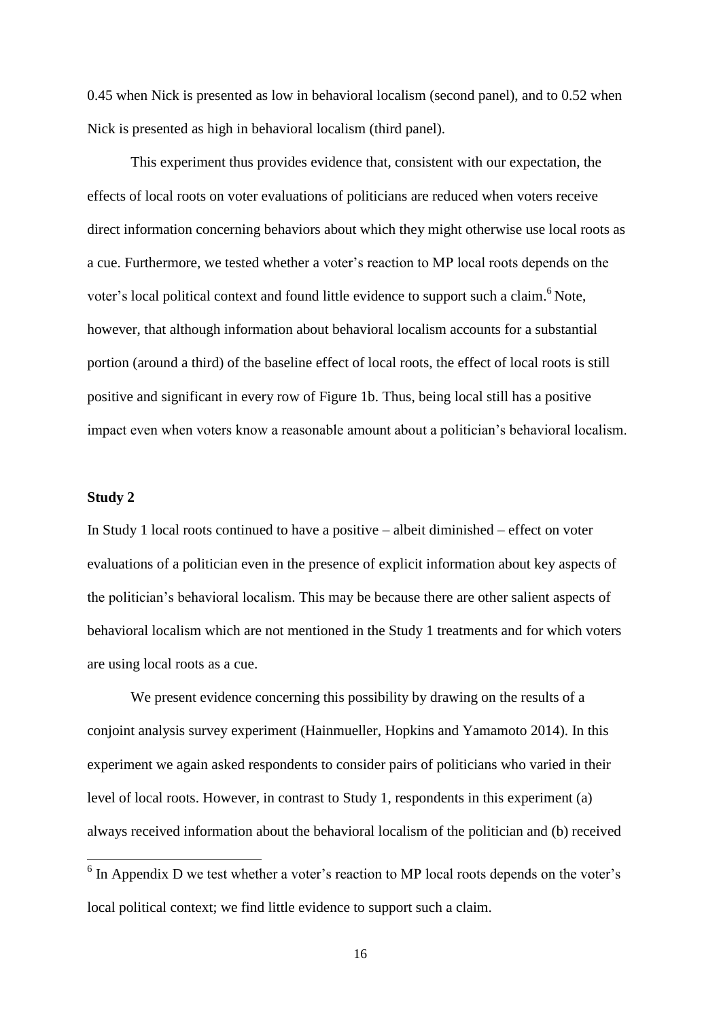0.45 when Nick is presented as low in behavioral localism (second panel), and to 0.52 when Nick is presented as high in behavioral localism (third panel).

This experiment thus provides evidence that, consistent with our expectation, the effects of local roots on voter evaluations of politicians are reduced when voters receive direct information concerning behaviors about which they might otherwise use local roots as a cue. Furthermore, we tested whether a voter's reaction to MP local roots depends on the voter's local political context and found little evidence to support such a claim.<sup>6</sup> Note, however, that although information about behavioral localism accounts for a substantial portion (around a third) of the baseline effect of local roots, the effect of local roots is still positive and significant in every row of Figure 1b. Thus, being local still has a positive impact even when voters know a reasonable amount about a politician's behavioral localism.

# **Study 2**

In Study 1 local roots continued to have a positive – albeit diminished – effect on voter evaluations of a politician even in the presence of explicit information about key aspects of the politician's behavioral localism. This may be because there are other salient aspects of behavioral localism which are not mentioned in the Study 1 treatments and for which voters are using local roots as a cue.

We present evidence concerning this possibility by drawing on the results of a conjoint analysis survey experiment (Hainmueller, Hopkins and Yamamoto 2014). In this experiment we again asked respondents to consider pairs of politicians who varied in their level of local roots. However, in contrast to Study 1, respondents in this experiment (a) always received information about the behavioral localism of the politician and (b) received

 $\frac{6}{6}$  In Appendix D we test whether a voter's reaction to MP local roots depends on the voter's local political context; we find little evidence to support such a claim.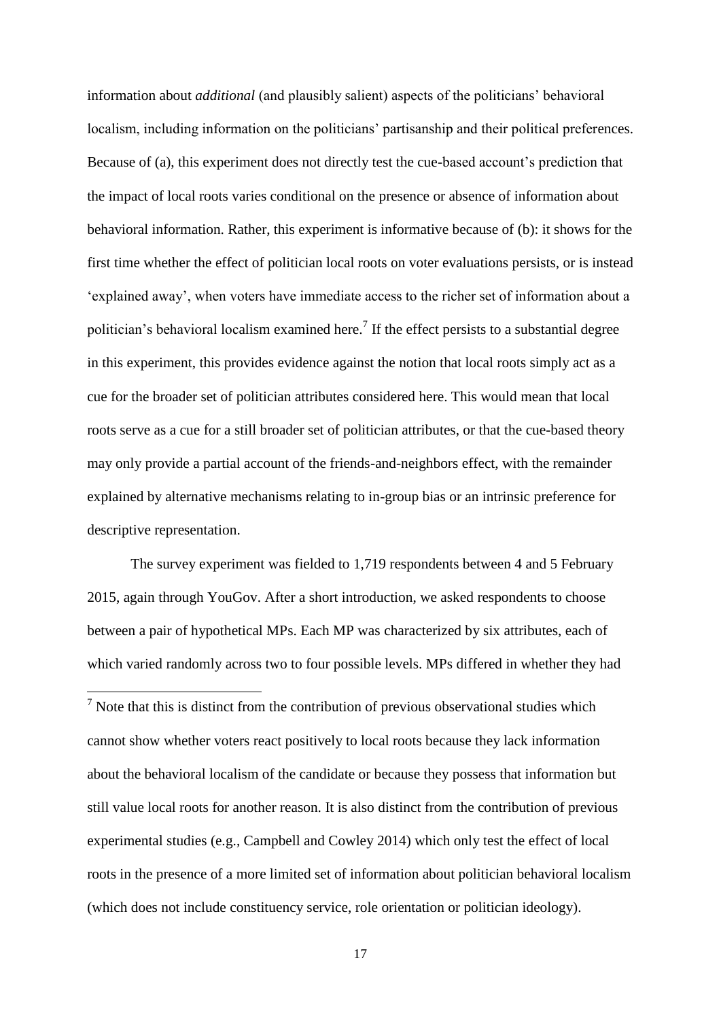information about *additional* (and plausibly salient) aspects of the politicians' behavioral localism, including information on the politicians' partisanship and their political preferences. Because of (a), this experiment does not directly test the cue-based account's prediction that the impact of local roots varies conditional on the presence or absence of information about behavioral information. Rather, this experiment is informative because of (b): it shows for the first time whether the effect of politician local roots on voter evaluations persists, or is instead 'explained away', when voters have immediate access to the richer set of information about a politician's behavioral localism examined here.<sup>7</sup> If the effect persists to a substantial degree in this experiment, this provides evidence against the notion that local roots simply act as a cue for the broader set of politician attributes considered here. This would mean that local roots serve as a cue for a still broader set of politician attributes, or that the cue-based theory may only provide a partial account of the friends-and-neighbors effect, with the remainder explained by alternative mechanisms relating to in-group bias or an intrinsic preference for descriptive representation.

The survey experiment was fielded to 1,719 respondents between 4 and 5 February 2015, again through YouGov. After a short introduction, we asked respondents to choose between a pair of hypothetical MPs. Each MP was characterized by six attributes, each of which varied randomly across two to four possible levels. MPs differed in whether they had

**.** 

 $<sup>7</sup>$  Note that this is distinct from the contribution of previous observational studies which</sup> cannot show whether voters react positively to local roots because they lack information about the behavioral localism of the candidate or because they possess that information but still value local roots for another reason. It is also distinct from the contribution of previous experimental studies (e.g., Campbell and Cowley 2014) which only test the effect of local roots in the presence of a more limited set of information about politician behavioral localism (which does not include constituency service, role orientation or politician ideology).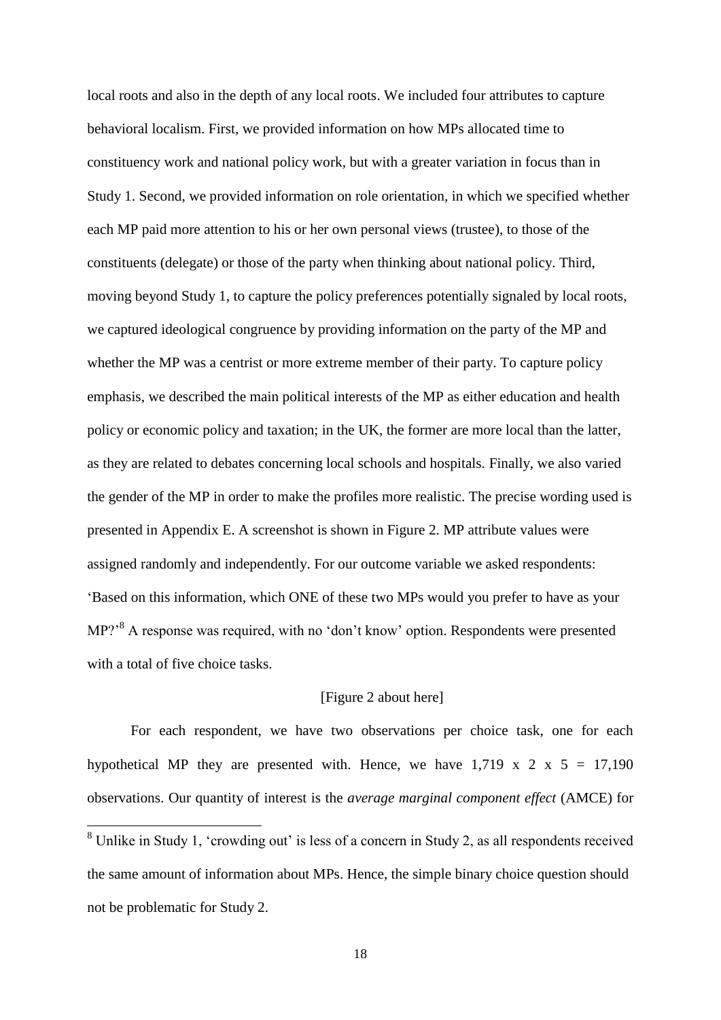local roots and also in the depth of any local roots. We included four attributes to capture behavioral localism. First, we provided information on how MPs allocated time to constituency work and national policy work, but with a greater variation in focus than in Study 1. Second, we provided information on role orientation, in which we specified whether each MP paid more attention to his or her own personal views (trustee), to those of the constituents (delegate) or those of the party when thinking about national policy. Third, moving beyond Study 1, to capture the policy preferences potentially signaled by local roots, we captured ideological congruence by providing information on the party of the MP and whether the MP was a centrist or more extreme member of their party. To capture policy emphasis, we described the main political interests of the MP as either education and health policy or economic policy and taxation; in the UK, the former are more local than the latter, as they are related to debates concerning local schools and hospitals. Finally, we also varied the gender of the MP in order to make the profiles more realistic. The precise wording used is presented in Appendix E. A screenshot is shown in Figure 2. MP attribute values were assigned randomly and independently. For our outcome variable we asked respondents: 'Based on this information, which ONE of these two MPs would you prefer to have as your MP?<sup>8</sup> A response was required, with no 'don't know' option. Respondents were presented with a total of five choice tasks.

## [Figure 2 about here]

For each respondent, we have two observations per choice task, one for each hypothetical MP they are presented with. Hence, we have  $1.719 \times 2 \times 5 = 17,190$ observations. Our quantity of interest is the *average marginal component effect* (AMCE) for

 $\overline{a}$ 

<sup>&</sup>lt;sup>8</sup> Unlike in Study 1, 'crowding out' is less of a concern in Study 2, as all respondents received the same amount of information about MPs. Hence, the simple binary choice question should not be problematic for Study 2.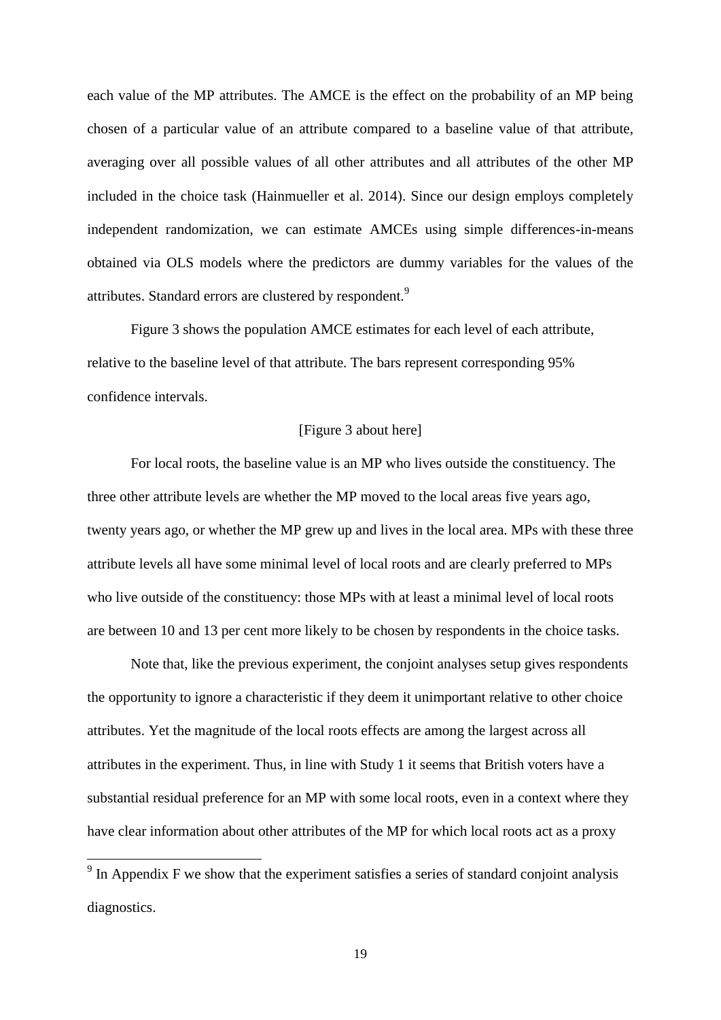each value of the MP attributes. The AMCE is the effect on the probability of an MP being chosen of a particular value of an attribute compared to a baseline value of that attribute, averaging over all possible values of all other attributes and all attributes of the other MP included in the choice task (Hainmueller et al. 2014). Since our design employs completely independent randomization, we can estimate AMCEs using simple differences-in-means obtained via OLS models where the predictors are dummy variables for the values of the attributes. Standard errors are clustered by respondent.<sup>9</sup>

Figure 3 shows the population AMCE estimates for each level of each attribute, relative to the baseline level of that attribute. The bars represent corresponding 95% confidence intervals.

# [Figure 3 about here]

For local roots, the baseline value is an MP who lives outside the constituency. The three other attribute levels are whether the MP moved to the local areas five years ago, twenty years ago, or whether the MP grew up and lives in the local area. MPs with these three attribute levels all have some minimal level of local roots and are clearly preferred to MPs who live outside of the constituency: those MPs with at least a minimal level of local roots are between 10 and 13 per cent more likely to be chosen by respondents in the choice tasks.

Note that, like the previous experiment, the conjoint analyses setup gives respondents the opportunity to ignore a characteristic if they deem it unimportant relative to other choice attributes. Yet the magnitude of the local roots effects are among the largest across all attributes in the experiment. Thus, in line with Study 1 it seems that British voters have a substantial residual preference for an MP with some local roots, even in a context where they have clear information about other attributes of the MP for which local roots act as a proxy

<sup>&</sup>lt;sup>9</sup> In Appendix F we show that the experiment satisfies a series of standard conjoint analysis diagnostics.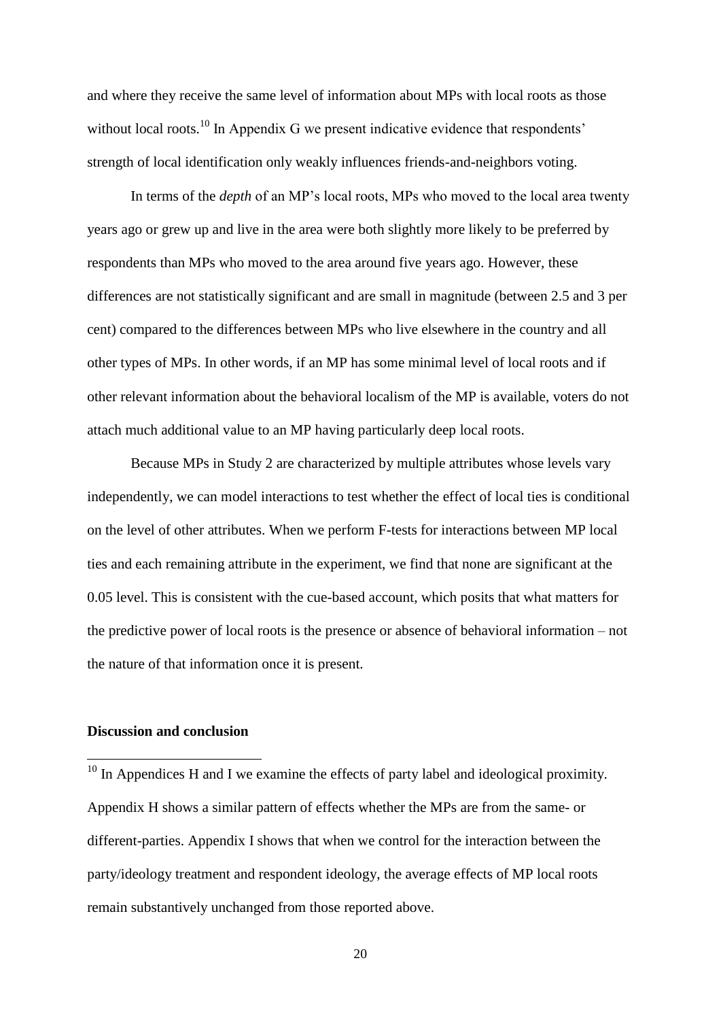and where they receive the same level of information about MPs with local roots as those without local roots.<sup>10</sup> In Appendix G we present indicative evidence that respondents' strength of local identification only weakly influences friends-and-neighbors voting.

In terms of the *depth* of an MP's local roots, MPs who moved to the local area twenty years ago or grew up and live in the area were both slightly more likely to be preferred by respondents than MPs who moved to the area around five years ago. However, these differences are not statistically significant and are small in magnitude (between 2.5 and 3 per cent) compared to the differences between MPs who live elsewhere in the country and all other types of MPs. In other words, if an MP has some minimal level of local roots and if other relevant information about the behavioral localism of the MP is available, voters do not attach much additional value to an MP having particularly deep local roots.

Because MPs in Study 2 are characterized by multiple attributes whose levels vary independently, we can model interactions to test whether the effect of local ties is conditional on the level of other attributes. When we perform F-tests for interactions between MP local ties and each remaining attribute in the experiment, we find that none are significant at the 0.05 level. This is consistent with the cue-based account, which posits that what matters for the predictive power of local roots is the presence or absence of behavioral information – not the nature of that information once it is present.

## **Discussion and conclusion**

1

 $10$  In Appendices H and I we examine the effects of party label and ideological proximity. Appendix H shows a similar pattern of effects whether the MPs are from the same- or different-parties. Appendix I shows that when we control for the interaction between the party/ideology treatment and respondent ideology, the average effects of MP local roots remain substantively unchanged from those reported above.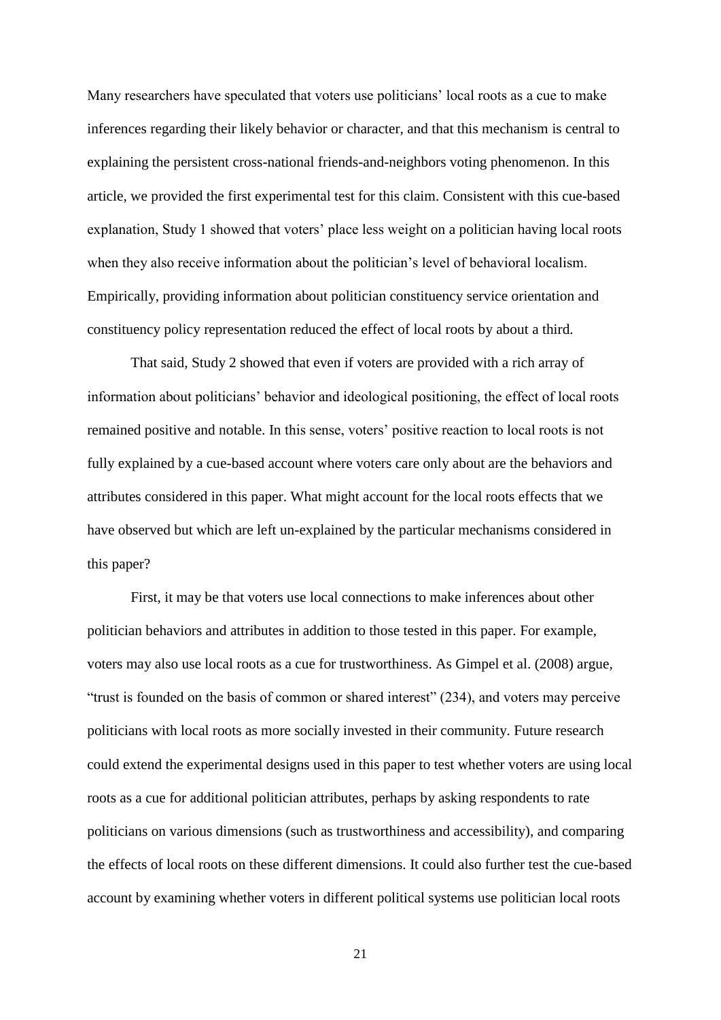Many researchers have speculated that voters use politicians' local roots as a cue to make inferences regarding their likely behavior or character, and that this mechanism is central to explaining the persistent cross-national friends-and-neighbors voting phenomenon. In this article, we provided the first experimental test for this claim. Consistent with this cue-based explanation, Study 1 showed that voters' place less weight on a politician having local roots when they also receive information about the politician's level of behavioral localism. Empirically, providing information about politician constituency service orientation and constituency policy representation reduced the effect of local roots by about a third.

That said, Study 2 showed that even if voters are provided with a rich array of information about politicians' behavior and ideological positioning, the effect of local roots remained positive and notable. In this sense, voters' positive reaction to local roots is not fully explained by a cue-based account where voters care only about are the behaviors and attributes considered in this paper. What might account for the local roots effects that we have observed but which are left un-explained by the particular mechanisms considered in this paper?

First, it may be that voters use local connections to make inferences about other politician behaviors and attributes in addition to those tested in this paper. For example, voters may also use local roots as a cue for trustworthiness. As Gimpel et al. (2008) argue, "trust is founded on the basis of common or shared interest" (234), and voters may perceive politicians with local roots as more socially invested in their community. Future research could extend the experimental designs used in this paper to test whether voters are using local roots as a cue for additional politician attributes, perhaps by asking respondents to rate politicians on various dimensions (such as trustworthiness and accessibility), and comparing the effects of local roots on these different dimensions. It could also further test the cue-based account by examining whether voters in different political systems use politician local roots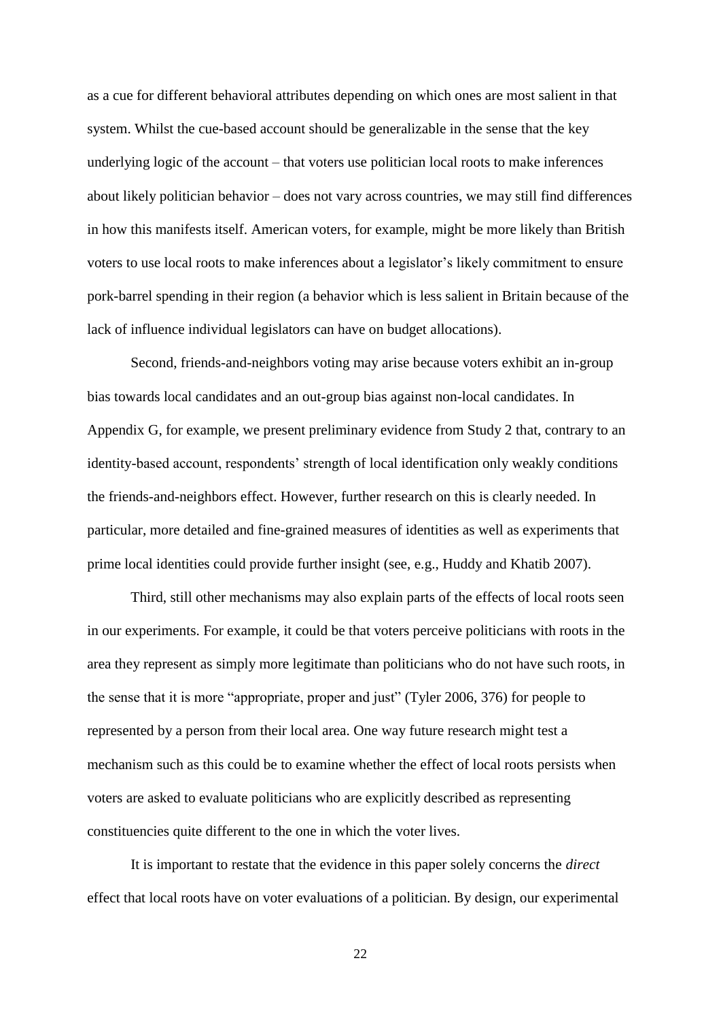as a cue for different behavioral attributes depending on which ones are most salient in that system. Whilst the cue-based account should be generalizable in the sense that the key underlying logic of the account – that voters use politician local roots to make inferences about likely politician behavior – does not vary across countries, we may still find differences in how this manifests itself. American voters, for example, might be more likely than British voters to use local roots to make inferences about a legislator's likely commitment to ensure pork-barrel spending in their region (a behavior which is less salient in Britain because of the lack of influence individual legislators can have on budget allocations).

Second, friends-and-neighbors voting may arise because voters exhibit an in-group bias towards local candidates and an out-group bias against non-local candidates. In Appendix G, for example, we present preliminary evidence from Study 2 that, contrary to an identity-based account, respondents' strength of local identification only weakly conditions the friends-and-neighbors effect. However, further research on this is clearly needed. In particular, more detailed and fine-grained measures of identities as well as experiments that prime local identities could provide further insight (see, e.g., Huddy and Khatib 2007).

Third, still other mechanisms may also explain parts of the effects of local roots seen in our experiments. For example, it could be that voters perceive politicians with roots in the area they represent as simply more legitimate than politicians who do not have such roots, in the sense that it is more "appropriate, proper and just" (Tyler 2006, 376) for people to represented by a person from their local area. One way future research might test a mechanism such as this could be to examine whether the effect of local roots persists when voters are asked to evaluate politicians who are explicitly described as representing constituencies quite different to the one in which the voter lives.

It is important to restate that the evidence in this paper solely concerns the *direct* effect that local roots have on voter evaluations of a politician. By design, our experimental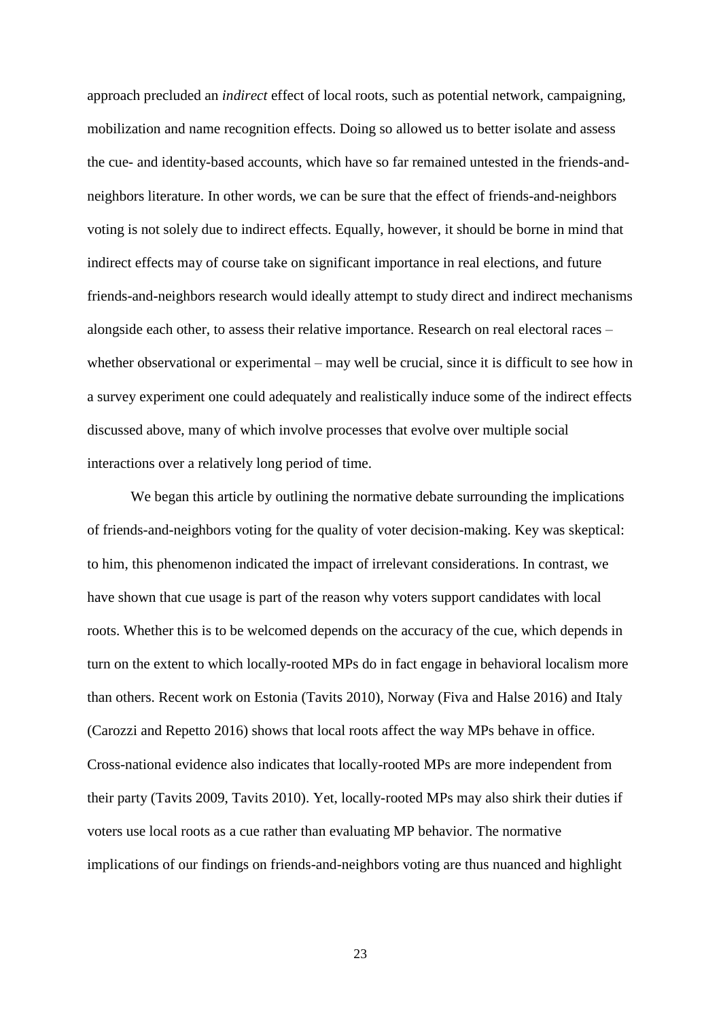approach precluded an *indirect* effect of local roots, such as potential network, campaigning, mobilization and name recognition effects. Doing so allowed us to better isolate and assess the cue- and identity-based accounts, which have so far remained untested in the friends-andneighbors literature. In other words, we can be sure that the effect of friends-and-neighbors voting is not solely due to indirect effects. Equally, however, it should be borne in mind that indirect effects may of course take on significant importance in real elections, and future friends-and-neighbors research would ideally attempt to study direct and indirect mechanisms alongside each other, to assess their relative importance. Research on real electoral races – whether observational or experimental – may well be crucial, since it is difficult to see how in a survey experiment one could adequately and realistically induce some of the indirect effects discussed above, many of which involve processes that evolve over multiple social interactions over a relatively long period of time.

We began this article by outlining the normative debate surrounding the implications of friends-and-neighbors voting for the quality of voter decision-making. Key was skeptical: to him, this phenomenon indicated the impact of irrelevant considerations. In contrast, we have shown that cue usage is part of the reason why voters support candidates with local roots. Whether this is to be welcomed depends on the accuracy of the cue, which depends in turn on the extent to which locally-rooted MPs do in fact engage in behavioral localism more than others. Recent work on Estonia (Tavits 2010), Norway (Fiva and Halse 2016) and Italy (Carozzi and Repetto 2016) shows that local roots affect the way MPs behave in office. Cross-national evidence also indicates that locally-rooted MPs are more independent from their party (Tavits 2009, Tavits 2010). Yet, locally-rooted MPs may also shirk their duties if voters use local roots as a cue rather than evaluating MP behavior. The normative implications of our findings on friends-and-neighbors voting are thus nuanced and highlight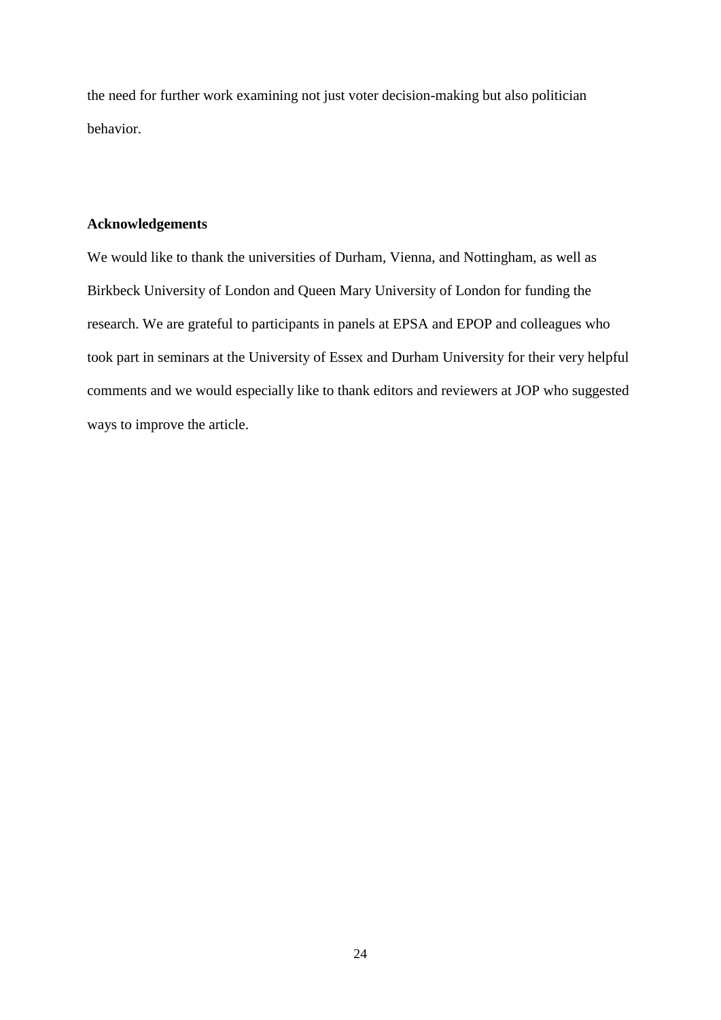the need for further work examining not just voter decision-making but also politician behavior.

# **Acknowledgements**

We would like to thank the universities of Durham, Vienna, and Nottingham, as well as Birkbeck University of London and Queen Mary University of London for funding the research. We are grateful to participants in panels at EPSA and EPOP and colleagues who took part in seminars at the University of Essex and Durham University for their very helpful comments and we would especially like to thank editors and reviewers at JOP who suggested ways to improve the article.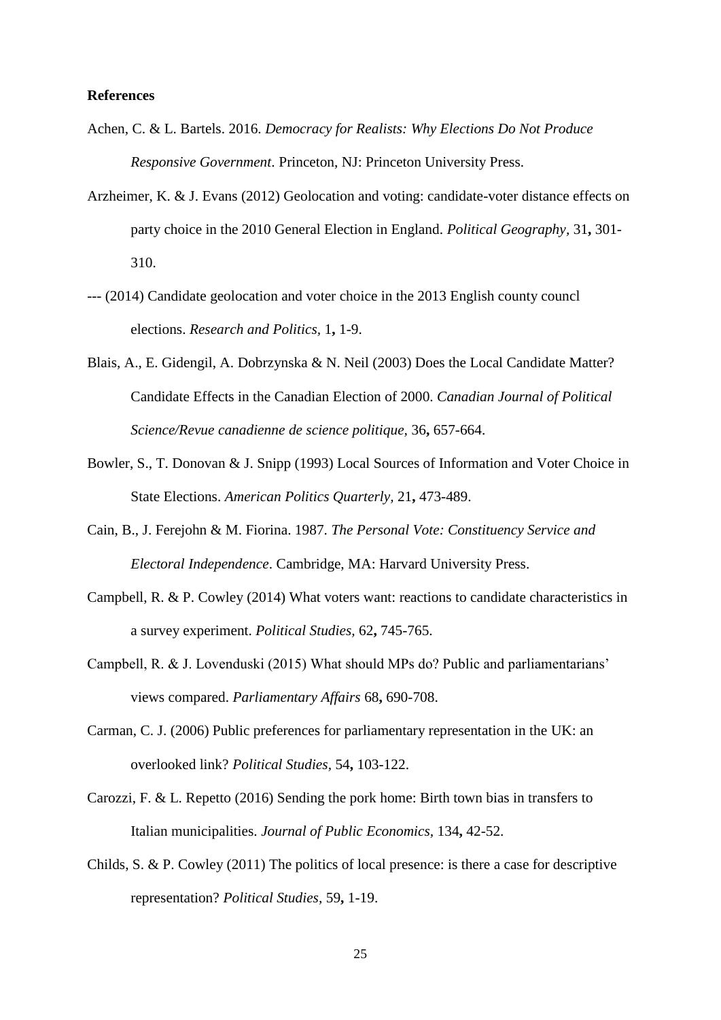## **References**

- Achen, C. & L. Bartels. 2016. *Democracy for Realists: Why Elections Do Not Produce Responsive Government*. Princeton, NJ: Princeton University Press.
- Arzheimer, K. & J. Evans (2012) Geolocation and voting: candidate-voter distance effects on party choice in the 2010 General Election in England. *Political Geography,* 31**,** 301- 310.
- --- (2014) Candidate geolocation and voter choice in the 2013 English county councl elections. *Research and Politics,* 1**,** 1-9.
- Blais, A., E. Gidengil, A. Dobrzynska & N. Neil (2003) Does the Local Candidate Matter? Candidate Effects in the Canadian Election of 2000. *Canadian Journal of Political Science/Revue canadienne de science politique,* 36**,** 657-664.
- Bowler, S., T. Donovan & J. Snipp (1993) Local Sources of Information and Voter Choice in State Elections. *American Politics Quarterly,* 21**,** 473-489.
- Cain, B., J. Ferejohn & M. Fiorina. 1987. *The Personal Vote: Constituency Service and Electoral Independence*. Cambridge, MA: Harvard University Press.
- Campbell, R. & P. Cowley (2014) What voters want: reactions to candidate characteristics in a survey experiment. *Political Studies,* 62**,** 745-765.
- Campbell, R. & J. Lovenduski (2015) What should MPs do? Public and parliamentarians' views compared. *Parliamentary Affairs* 68**,** 690-708.
- Carman, C. J. (2006) Public preferences for parliamentary representation in the UK: an overlooked link? *Political Studies,* 54**,** 103-122.
- Carozzi, F. & L. Repetto (2016) Sending the pork home: Birth town bias in transfers to Italian municipalities. *Journal of Public Economics,* 134**,** 42-52.
- Childs, S. & P. Cowley (2011) The politics of local presence: is there a case for descriptive representation? *Political Studies,* 59**,** 1-19.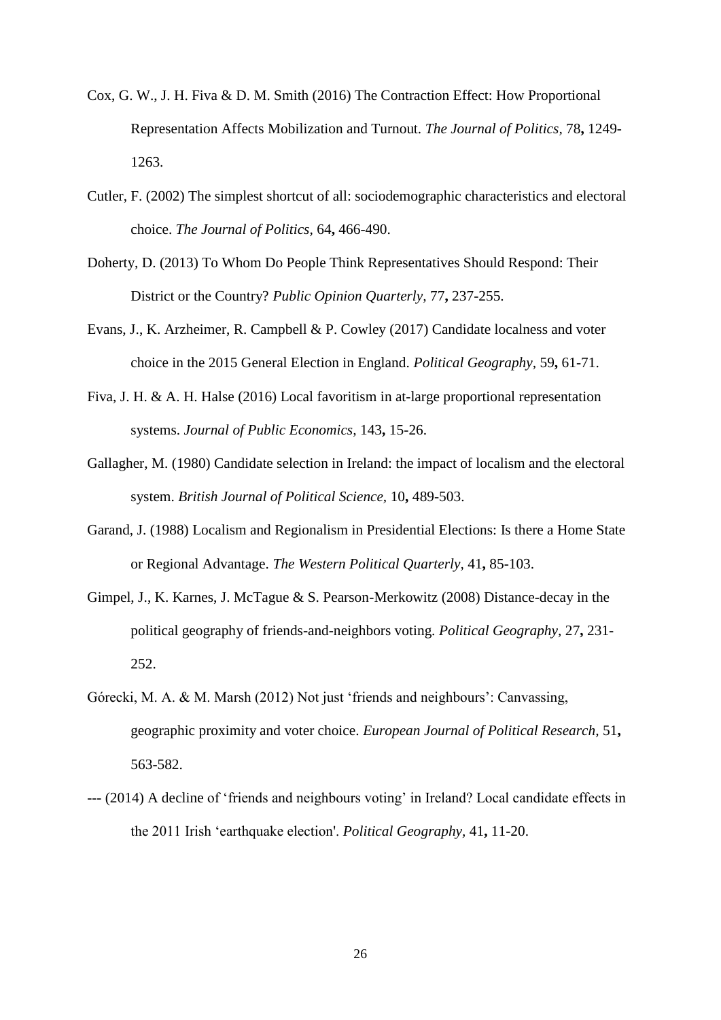- Cox, G. W., J. H. Fiva & D. M. Smith (2016) The Contraction Effect: How Proportional Representation Affects Mobilization and Turnout. *The Journal of Politics,* 78**,** 1249- 1263.
- Cutler, F. (2002) The simplest shortcut of all: sociodemographic characteristics and electoral choice. *The Journal of Politics,* 64**,** 466-490.
- Doherty, D. (2013) To Whom Do People Think Representatives Should Respond: Their District or the Country? *Public Opinion Quarterly,* 77**,** 237-255.
- Evans, J., K. Arzheimer, R. Campbell & P. Cowley (2017) Candidate localness and voter choice in the 2015 General Election in England. *Political Geography,* 59**,** 61-71.
- Fiva, J. H. & A. H. Halse (2016) Local favoritism in at-large proportional representation systems. *Journal of Public Economics,* 143**,** 15-26.
- Gallagher, M. (1980) Candidate selection in Ireland: the impact of localism and the electoral system. *British Journal of Political Science,* 10**,** 489-503.
- Garand, J. (1988) Localism and Regionalism in Presidential Elections: Is there a Home State or Regional Advantage. *The Western Political Quarterly,* 41**,** 85-103.
- Gimpel, J., K. Karnes, J. McTague & S. Pearson-Merkowitz (2008) Distance-decay in the political geography of friends-and-neighbors voting. *Political Geography,* 27**,** 231- 252.
- Górecki, M. A. & M. Marsh (2012) Not just 'friends and neighbours': Canvassing, geographic proximity and voter choice. *European Journal of Political Research,* 51**,** 563-582.
- --- (2014) A decline of 'friends and neighbours voting' in Ireland? Local candidate effects in the 2011 Irish 'earthquake election'. *Political Geography,* 41**,** 11-20.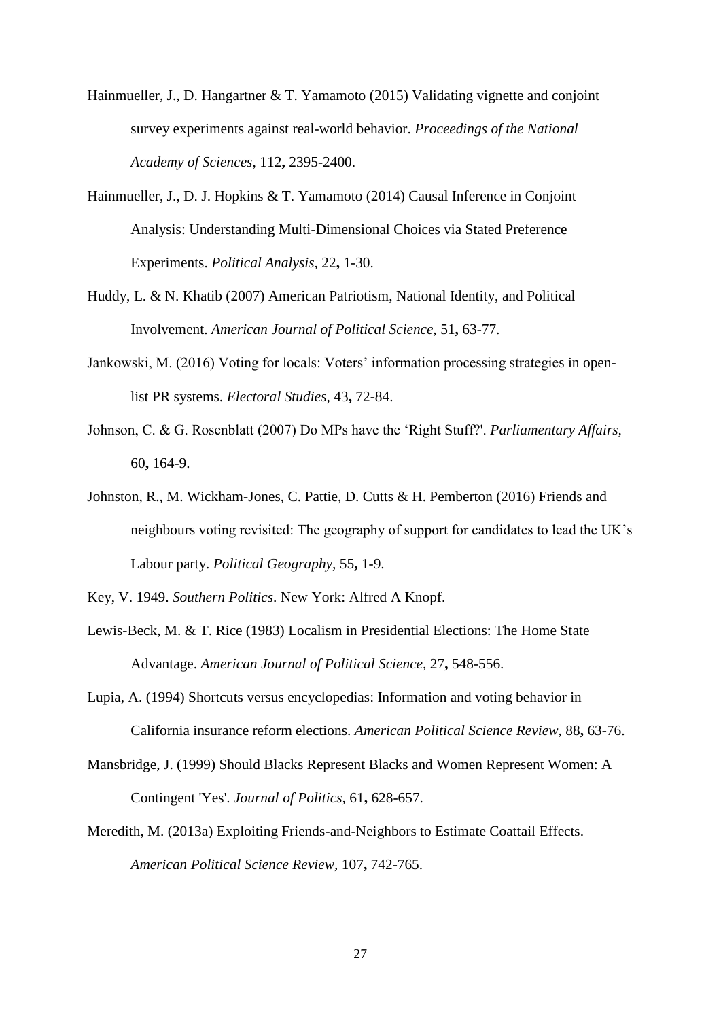- Hainmueller, J., D. Hangartner & T. Yamamoto (2015) Validating vignette and conjoint survey experiments against real-world behavior. *Proceedings of the National Academy of Sciences,* 112**,** 2395-2400.
- Hainmueller, J., D. J. Hopkins & T. Yamamoto (2014) Causal Inference in Conjoint Analysis: Understanding Multi-Dimensional Choices via Stated Preference Experiments. *Political Analysis,* 22**,** 1-30.
- Huddy, L. & N. Khatib (2007) American Patriotism, National Identity, and Political Involvement. *American Journal of Political Science,* 51**,** 63-77.
- Jankowski, M. (2016) Voting for locals: Voters' information processing strategies in openlist PR systems. *Electoral Studies,* 43**,** 72-84.
- Johnson, C. & G. Rosenblatt (2007) Do MPs have the 'Right Stuff?'. *Parliamentary Affairs,* 60**,** 164-9.
- Johnston, R., M. Wickham-Jones, C. Pattie, D. Cutts & H. Pemberton (2016) Friends and neighbours voting revisited: The geography of support for candidates to lead the UK's Labour party. *Political Geography,* 55**,** 1-9.
- Key, V. 1949. *Southern Politics*. New York: Alfred A Knopf.
- Lewis-Beck, M. & T. Rice (1983) Localism in Presidential Elections: The Home State Advantage. *American Journal of Political Science,* 27**,** 548-556.
- Lupia, A. (1994) Shortcuts versus encyclopedias: Information and voting behavior in California insurance reform elections. *American Political Science Review,* 88**,** 63-76.
- Mansbridge, J. (1999) Should Blacks Represent Blacks and Women Represent Women: A Contingent 'Yes'. *Journal of Politics,* 61**,** 628-657.
- Meredith, M. (2013a) Exploiting Friends-and-Neighbors to Estimate Coattail Effects. *American Political Science Review,* 107**,** 742-765.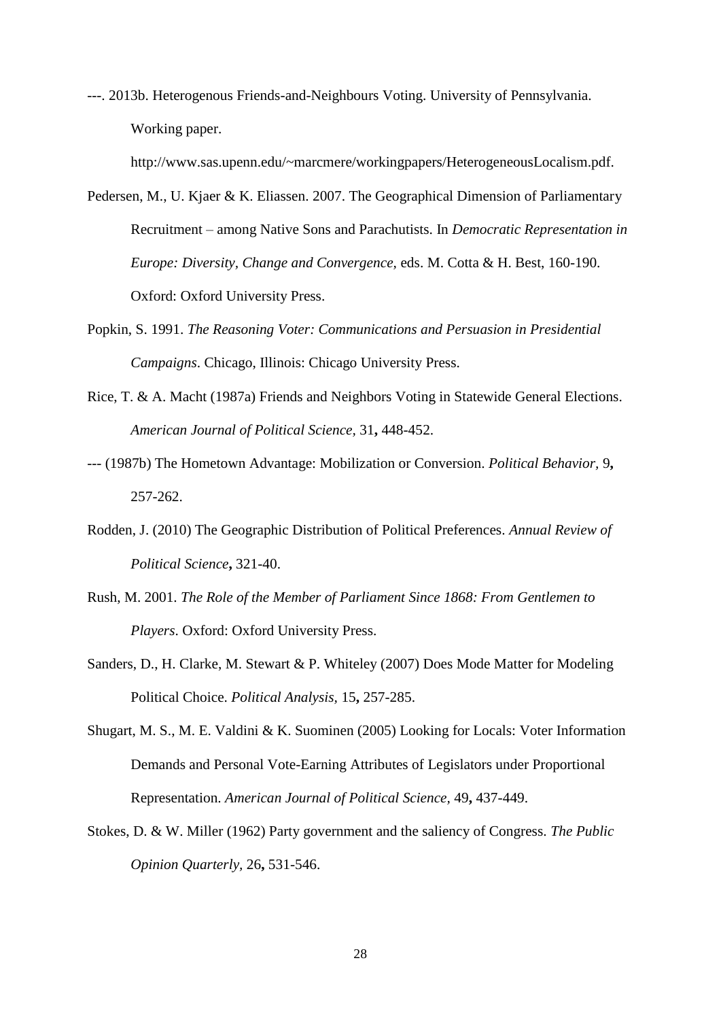---. 2013b. Heterogenous Friends-and-Neighbours Voting. University of Pennsylvania. Working paper.

http://www.sas.upenn.edu/~marcmere/workingpapers/HeterogeneousLocalism.pdf.

- Pedersen, M., U. Kjaer & K. Eliassen. 2007. The Geographical Dimension of Parliamentary Recruitment – among Native Sons and Parachutists. In *Democratic Representation in Europe: Diversity, Change and Convergence,* eds. M. Cotta & H. Best, 160-190. Oxford: Oxford University Press.
- Popkin, S. 1991. *The Reasoning Voter: Communications and Persuasion in Presidential Campaigns*. Chicago, Illinois: Chicago University Press.
- Rice, T. & A. Macht (1987a) Friends and Neighbors Voting in Statewide General Elections. *American Journal of Political Science,* 31**,** 448-452.
- --- (1987b) The Hometown Advantage: Mobilization or Conversion. *Political Behavior,* 9**,** 257-262.
- Rodden, J. (2010) The Geographic Distribution of Political Preferences. *Annual Review of Political Science***,** 321-40.
- Rush, M. 2001. *The Role of the Member of Parliament Since 1868: From Gentlemen to Players*. Oxford: Oxford University Press.
- Sanders, D., H. Clarke, M. Stewart & P. Whiteley (2007) Does Mode Matter for Modeling Political Choice. *Political Analysis,* 15**,** 257-285.
- Shugart, M. S., M. E. Valdini & K. Suominen (2005) Looking for Locals: Voter Information Demands and Personal Vote-Earning Attributes of Legislators under Proportional Representation. *American Journal of Political Science,* 49**,** 437-449.
- Stokes, D. & W. Miller (1962) Party government and the saliency of Congress. *The Public Opinion Quarterly,* 26**,** 531-546.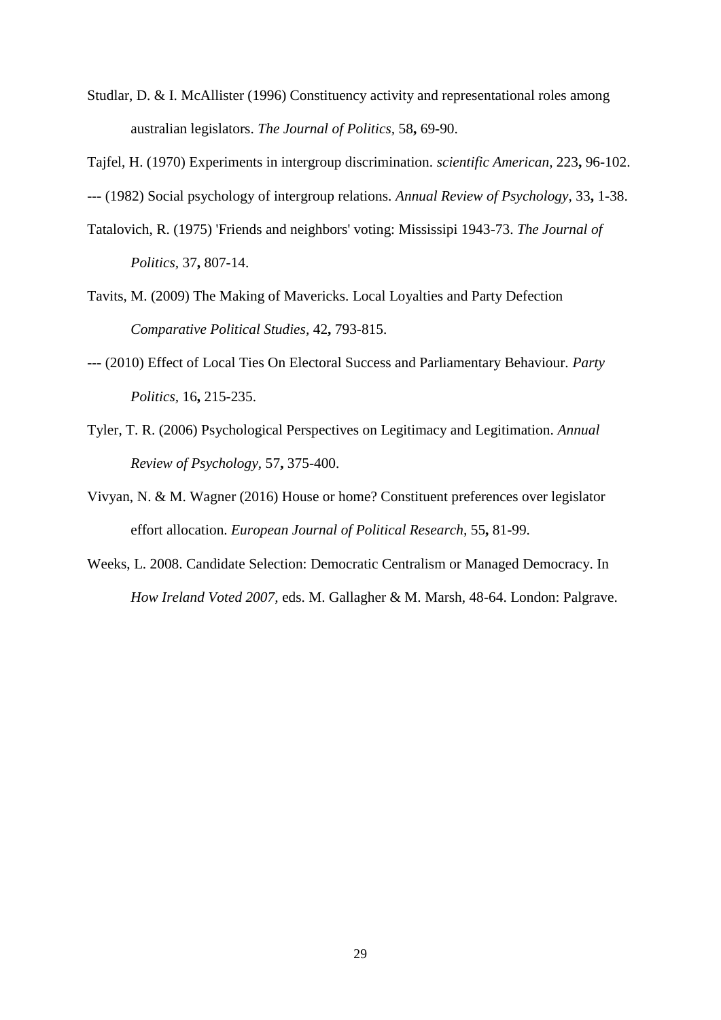Studlar, D. & I. McAllister (1996) Constituency activity and representational roles among australian legislators. *The Journal of Politics,* 58**,** 69-90.

Tajfel, H. (1970) Experiments in intergroup discrimination. *scientific American,* 223**,** 96-102.

--- (1982) Social psychology of intergroup relations. *Annual Review of Psychology,* 33**,** 1-38.

- Tatalovich, R. (1975) 'Friends and neighbors' voting: Mississipi 1943-73. *The Journal of Politics,* 37**,** 807-14.
- Tavits, M. (2009) The Making of Mavericks. Local Loyalties and Party Defection *Comparative Political Studies,* 42**,** 793-815.
- --- (2010) Effect of Local Ties On Electoral Success and Parliamentary Behaviour. *Party Politics,* 16**,** 215-235.
- Tyler, T. R. (2006) Psychological Perspectives on Legitimacy and Legitimation. *Annual Review of Psychology,* 57**,** 375-400.
- Vivyan, N. & M. Wagner (2016) House or home? Constituent preferences over legislator effort allocation. *European Journal of Political Research,* 55**,** 81-99.
- Weeks, L. 2008. Candidate Selection: Democratic Centralism or Managed Democracy. In *How Ireland Voted 2007,* eds. M. Gallagher & M. Marsh, 48-64. London: Palgrave.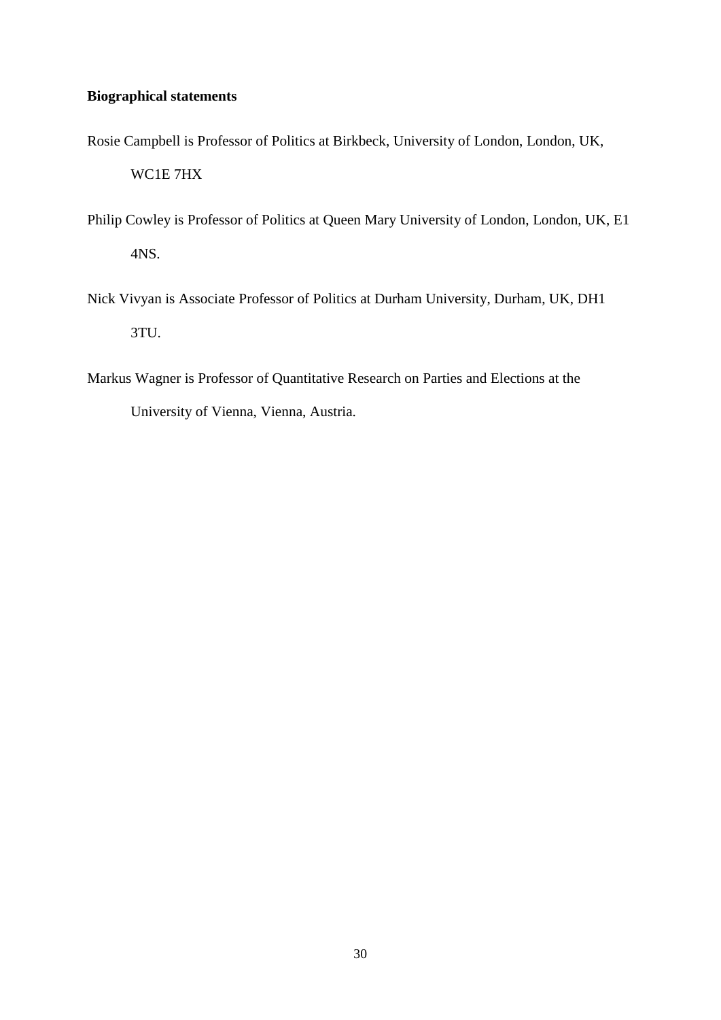# **Biographical statements**

- Rosie Campbell is Professor of Politics at Birkbeck, University of London, London, UK, WC1E 7HX
- Philip Cowley is Professor of Politics at Queen Mary University of London, London, UK, E1 4NS.
- Nick Vivyan is Associate Professor of Politics at Durham University, Durham, UK, DH1 3TU.
- Markus Wagner is Professor of Quantitative Research on Parties and Elections at the

University of Vienna, Vienna, Austria.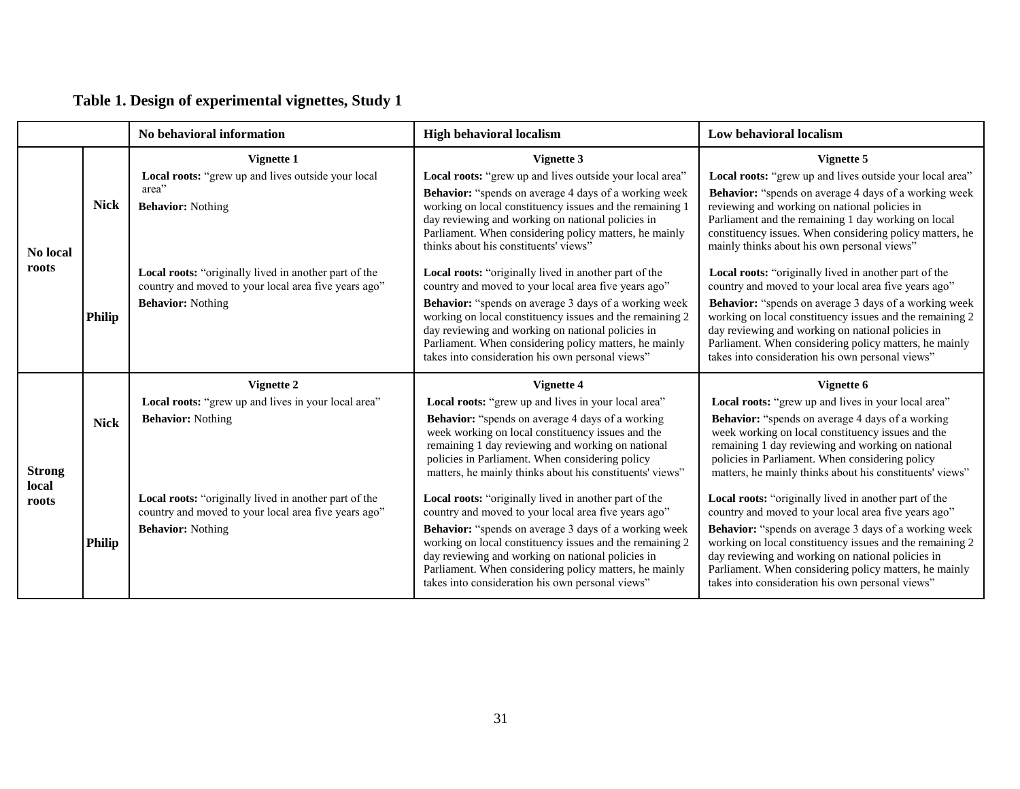|                |               | No behavioral information                                                                                                                 | <b>High behavioral localism</b>                                                                                                                                                                                                                                                                                                                                                                              | <b>Low behavioral localism</b>                                                                                                                                                                                                                                                                                                                                                                               |
|----------------|---------------|-------------------------------------------------------------------------------------------------------------------------------------------|--------------------------------------------------------------------------------------------------------------------------------------------------------------------------------------------------------------------------------------------------------------------------------------------------------------------------------------------------------------------------------------------------------------|--------------------------------------------------------------------------------------------------------------------------------------------------------------------------------------------------------------------------------------------------------------------------------------------------------------------------------------------------------------------------------------------------------------|
|                |               | Vignette 1                                                                                                                                | Vignette 3                                                                                                                                                                                                                                                                                                                                                                                                   | Vignette 5                                                                                                                                                                                                                                                                                                                                                                                                   |
| No local       | <b>Nick</b>   | Local roots: "grew up and lives outside your local<br>area"<br><b>Behavior: Nothing</b>                                                   | Local roots: "grew up and lives outside your local area"<br><b>Behavior:</b> "spends on average 4 days of a working week<br>working on local constituency issues and the remaining 1<br>day reviewing and working on national policies in<br>Parliament. When considering policy matters, he mainly<br>thinks about his constituents' views"                                                                 | Local roots: "grew up and lives outside your local area"<br><b>Behavior:</b> "spends on average 4 days of a working week<br>reviewing and working on national policies in<br>Parliament and the remaining 1 day working on local<br>constituency issues. When considering policy matters, he<br>mainly thinks about his own personal views"                                                                  |
| roots          | <b>Philip</b> | Local roots: "originally lived in another part of the<br>country and moved to your local area five years ago"<br><b>Behavior: Nothing</b> | Local roots: "originally lived in another part of the<br>country and moved to your local area five years ago"<br><b>Behavior:</b> "spends on average 3 days of a working week<br>working on local constituency issues and the remaining 2<br>day reviewing and working on national policies in<br>Parliament. When considering policy matters, he mainly<br>takes into consideration his own personal views" | Local roots: "originally lived in another part of the<br>country and moved to your local area five years ago"<br><b>Behavior:</b> "spends on average 3 days of a working week<br>working on local constituency issues and the remaining 2<br>day reviewing and working on national policies in<br>Parliament. When considering policy matters, he mainly<br>takes into consideration his own personal views" |
|                |               | Vignette 2                                                                                                                                | Vignette 4                                                                                                                                                                                                                                                                                                                                                                                                   | Vignette 6                                                                                                                                                                                                                                                                                                                                                                                                   |
| <b>Strong</b>  | <b>Nick</b>   | Local roots: "grew up and lives in your local area"<br><b>Behavior:</b> Nothing                                                           | Local roots: "grew up and lives in your local area"<br><b>Behavior:</b> "spends on average 4 days of a working<br>week working on local constituency issues and the<br>remaining 1 day reviewing and working on national<br>policies in Parliament. When considering policy<br>matters, he mainly thinks about his constituents' views"                                                                      | Local roots: "grew up and lives in your local area"<br><b>Behavior:</b> "spends on average 4 days of a working<br>week working on local constituency issues and the<br>remaining 1 day reviewing and working on national<br>policies in Parliament. When considering policy<br>matters, he mainly thinks about his constituents' views"                                                                      |
| local<br>roots | <b>Philip</b> | Local roots: "originally lived in another part of the<br>country and moved to your local area five years ago"<br><b>Behavior: Nothing</b> | Local roots: "originally lived in another part of the<br>country and moved to your local area five years ago"<br><b>Behavior:</b> "spends on average 3 days of a working week<br>working on local constituency issues and the remaining 2<br>day reviewing and working on national policies in<br>Parliament. When considering policy matters, he mainly<br>takes into consideration his own personal views" | Local roots: "originally lived in another part of the<br>country and moved to your local area five years ago"<br><b>Behavior:</b> "spends on average 3 days of a working week<br>working on local constituency issues and the remaining 2<br>day reviewing and working on national policies in<br>Parliament. When considering policy matters, he mainly<br>takes into consideration his own personal views" |

# **Table 1. Design of experimental vignettes, Study 1**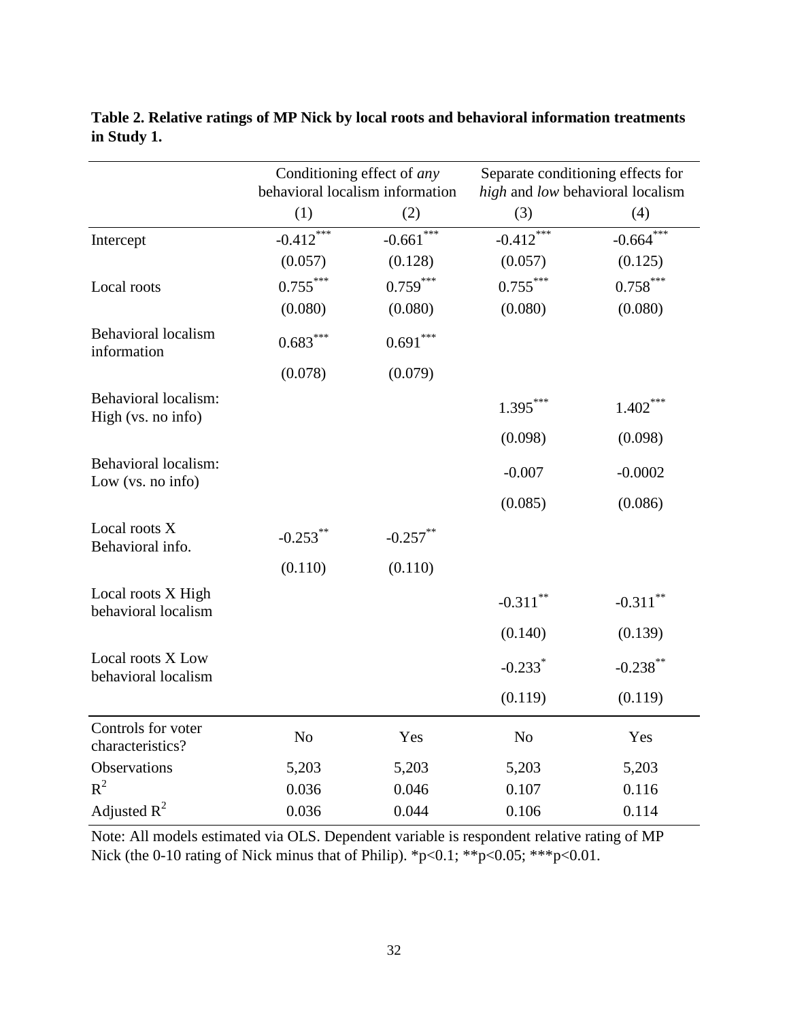|                                                   |                | Conditioning effect of any<br>Separate conditioning effects for<br>behavioral localism information<br>high and low behavioral localism |                       |                        |
|---------------------------------------------------|----------------|----------------------------------------------------------------------------------------------------------------------------------------|-----------------------|------------------------|
|                                                   | (1)            | (2)                                                                                                                                    | (3)                   | (4)                    |
| Intercept                                         | $-0.412$ ***   | ***<br>$-0.661$                                                                                                                        | $-0.412$ ***          | $-0.664$ ***           |
|                                                   | (0.057)        | (0.128)                                                                                                                                | (0.057)               | (0.125)                |
| Local roots                                       | $0.755***$     | $0.759***$                                                                                                                             | $0.755***$            | $0.758***$             |
|                                                   | (0.080)        | (0.080)                                                                                                                                | (0.080)               | (0.080)                |
| <b>Behavioral</b> localism<br>information         | $0.683***$     | $0.691^{\ast\ast\ast}$                                                                                                                 |                       |                        |
|                                                   | (0.078)        | (0.079)                                                                                                                                |                       |                        |
| <b>Behavioral localism:</b><br>High (vs. no info) |                |                                                                                                                                        | $1.395***$            | $1.402***$             |
|                                                   |                |                                                                                                                                        | (0.098)               | (0.098)                |
| Behavioral localism:<br>Low (vs. no info)         |                |                                                                                                                                        | $-0.007$              | $-0.0002$              |
|                                                   |                |                                                                                                                                        | (0.085)               | (0.086)                |
| Local roots X<br>Behavioral info.                 | $-0.253***$    | $-0.257***$                                                                                                                            |                       |                        |
|                                                   | (0.110)        | (0.110)                                                                                                                                |                       |                        |
| Local roots X High<br>behavioral localism         |                |                                                                                                                                        | $-0.311$ **           | $-0.311$ <sup>**</sup> |
|                                                   |                |                                                                                                                                        | (0.140)               | (0.139)                |
| Local roots X Low<br>behavioral localism          |                |                                                                                                                                        | $-0.233$ <sup>*</sup> | $-0.238***$            |
|                                                   |                |                                                                                                                                        | (0.119)               | (0.119)                |
| Controls for voter<br>characteristics?            | N <sub>o</sub> | Yes                                                                                                                                    | N <sub>0</sub>        | Yes                    |
| Observations                                      | 5,203          | 5,203                                                                                                                                  | 5,203                 | 5,203                  |
| $R^2$                                             | 0.036          | 0.046                                                                                                                                  | 0.107                 | 0.116                  |
| Adjusted $R^2$                                    | 0.036          | 0.044                                                                                                                                  | 0.106                 | 0.114                  |

**Table 2. Relative ratings of MP Nick by local roots and behavioral information treatments in Study 1.**

Note: All models estimated via OLS. Dependent variable is respondent relative rating of MP Nick (the 0-10 rating of Nick minus that of Philip). \*p<0.1; \*\*p<0.05; \*\*\*p<0.01.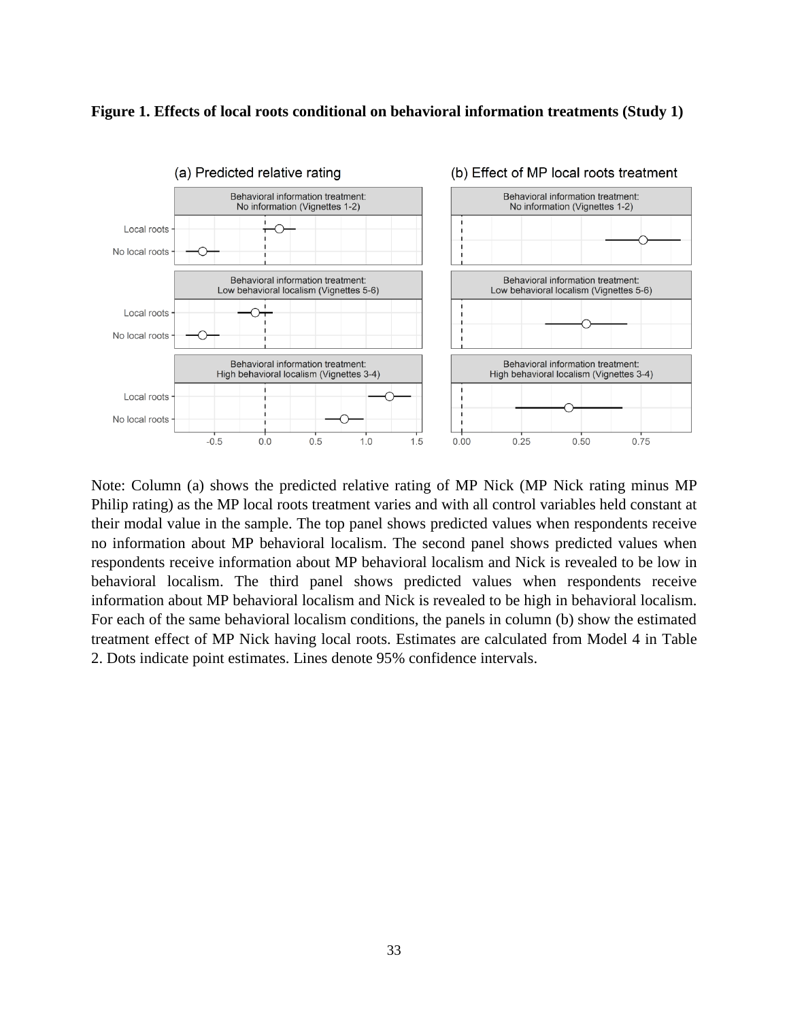

## **Figure 1. Effects of local roots conditional on behavioral information treatments (Study 1)**

Note: Column (a) shows the predicted relative rating of MP Nick (MP Nick rating minus MP Philip rating) as the MP local roots treatment varies and with all control variables held constant at their modal value in the sample. The top panel shows predicted values when respondents receive no information about MP behavioral localism. The second panel shows predicted values when respondents receive information about MP behavioral localism and Nick is revealed to be low in behavioral localism. The third panel shows predicted values when respondents receive information about MP behavioral localism and Nick is revealed to be high in behavioral localism. For each of the same behavioral localism conditions, the panels in column (b) show the estimated treatment effect of MP Nick having local roots. Estimates are calculated from Model 4 in Table 2. Dots indicate point estimates. Lines denote 95% confidence intervals.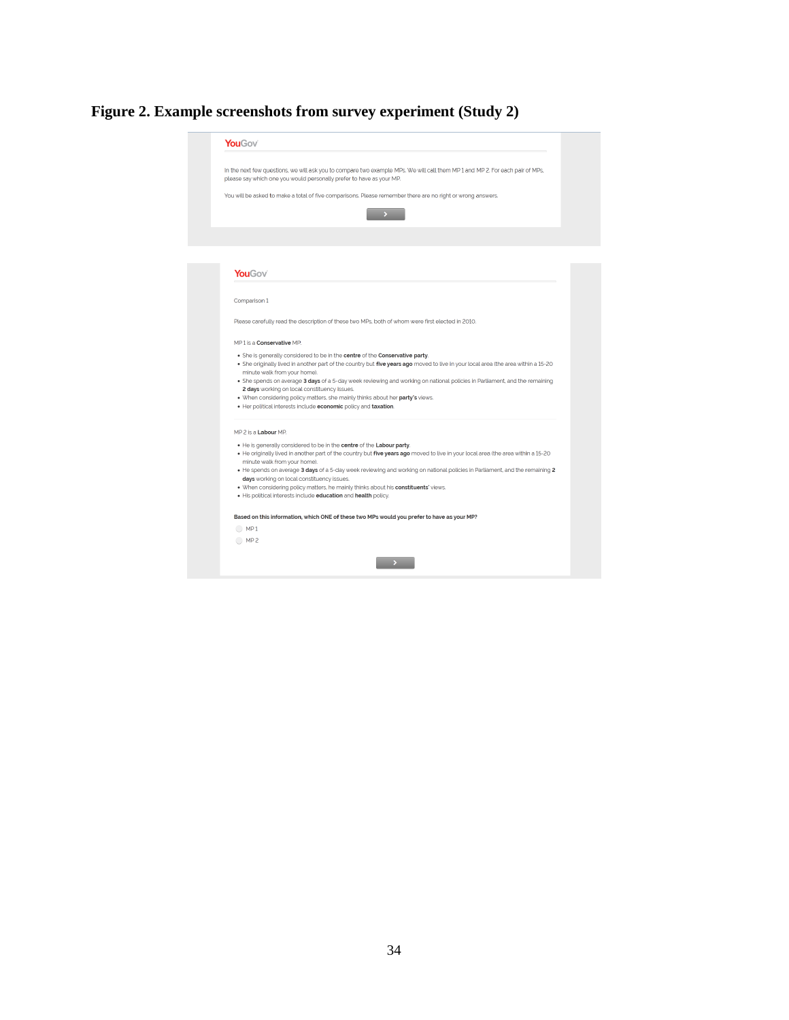# **Figure 2. Example screenshots from survey experiment (Study 2)**

| In the next few questions, we will ask you to compare two example MPs. We will call them MP 1 and MP 2. For each pair of MPs,<br><b>YouGov</b><br>Comparison 1<br>Please carefully read the description of these two MPs, both of whom were first elected in 2010.<br>MP1 is a Conservative MP.<br>. She is generally considered to be in the centre of the Conservative party.<br>. She originally lived in another part of the country but five years ago moved to live in your local area (the area within a 15-20<br>minute walk from your home).<br>. She spends on average 3 days of a 5-day week reviewing and working on national policies in Parliament, and the remaining<br>2 days working on local constituency issues.<br>. When considering policy matters, she mainly thinks about her party's views.<br>. Her political interests include economic policy and taxation.<br>MP 2 is a <b>Labour</b> MP.<br>. He is generally considered to be in the centre of the Labour party.<br>. He originally lived in another part of the country but five years ago moved to live in your local area (the area within a 15-20<br>minute walk from your home).<br>days working on local constituency issues.<br>. When considering policy matters, he mainly thinks about his constituents' views.<br>. His political interests include education and health policy.<br>Based on this information, which ONE of these two MPs would you prefer to have as your MP?<br>OMP1<br>OMP2 | <b>YouGov</b>                                                                                               |  |
|------------------------------------------------------------------------------------------------------------------------------------------------------------------------------------------------------------------------------------------------------------------------------------------------------------------------------------------------------------------------------------------------------------------------------------------------------------------------------------------------------------------------------------------------------------------------------------------------------------------------------------------------------------------------------------------------------------------------------------------------------------------------------------------------------------------------------------------------------------------------------------------------------------------------------------------------------------------------------------------------------------------------------------------------------------------------------------------------------------------------------------------------------------------------------------------------------------------------------------------------------------------------------------------------------------------------------------------------------------------------------------------------------------------------------------------------------------------------------------------|-------------------------------------------------------------------------------------------------------------|--|
|                                                                                                                                                                                                                                                                                                                                                                                                                                                                                                                                                                                                                                                                                                                                                                                                                                                                                                                                                                                                                                                                                                                                                                                                                                                                                                                                                                                                                                                                                          | please say which one you would personally prefer to have as your MP.                                        |  |
|                                                                                                                                                                                                                                                                                                                                                                                                                                                                                                                                                                                                                                                                                                                                                                                                                                                                                                                                                                                                                                                                                                                                                                                                                                                                                                                                                                                                                                                                                          | You will be asked to make a total of five comparisons. Please remember there are no right or wrong answers. |  |
|                                                                                                                                                                                                                                                                                                                                                                                                                                                                                                                                                                                                                                                                                                                                                                                                                                                                                                                                                                                                                                                                                                                                                                                                                                                                                                                                                                                                                                                                                          |                                                                                                             |  |
|                                                                                                                                                                                                                                                                                                                                                                                                                                                                                                                                                                                                                                                                                                                                                                                                                                                                                                                                                                                                                                                                                                                                                                                                                                                                                                                                                                                                                                                                                          |                                                                                                             |  |
| • He spends on average 3 days of a 5-day week reviewing and working on national policies in Parliament, and the remaining 2                                                                                                                                                                                                                                                                                                                                                                                                                                                                                                                                                                                                                                                                                                                                                                                                                                                                                                                                                                                                                                                                                                                                                                                                                                                                                                                                                              |                                                                                                             |  |
|                                                                                                                                                                                                                                                                                                                                                                                                                                                                                                                                                                                                                                                                                                                                                                                                                                                                                                                                                                                                                                                                                                                                                                                                                                                                                                                                                                                                                                                                                          |                                                                                                             |  |
|                                                                                                                                                                                                                                                                                                                                                                                                                                                                                                                                                                                                                                                                                                                                                                                                                                                                                                                                                                                                                                                                                                                                                                                                                                                                                                                                                                                                                                                                                          |                                                                                                             |  |
|                                                                                                                                                                                                                                                                                                                                                                                                                                                                                                                                                                                                                                                                                                                                                                                                                                                                                                                                                                                                                                                                                                                                                                                                                                                                                                                                                                                                                                                                                          |                                                                                                             |  |
|                                                                                                                                                                                                                                                                                                                                                                                                                                                                                                                                                                                                                                                                                                                                                                                                                                                                                                                                                                                                                                                                                                                                                                                                                                                                                                                                                                                                                                                                                          |                                                                                                             |  |
|                                                                                                                                                                                                                                                                                                                                                                                                                                                                                                                                                                                                                                                                                                                                                                                                                                                                                                                                                                                                                                                                                                                                                                                                                                                                                                                                                                                                                                                                                          |                                                                                                             |  |
|                                                                                                                                                                                                                                                                                                                                                                                                                                                                                                                                                                                                                                                                                                                                                                                                                                                                                                                                                                                                                                                                                                                                                                                                                                                                                                                                                                                                                                                                                          |                                                                                                             |  |
|                                                                                                                                                                                                                                                                                                                                                                                                                                                                                                                                                                                                                                                                                                                                                                                                                                                                                                                                                                                                                                                                                                                                                                                                                                                                                                                                                                                                                                                                                          |                                                                                                             |  |
|                                                                                                                                                                                                                                                                                                                                                                                                                                                                                                                                                                                                                                                                                                                                                                                                                                                                                                                                                                                                                                                                                                                                                                                                                                                                                                                                                                                                                                                                                          |                                                                                                             |  |
|                                                                                                                                                                                                                                                                                                                                                                                                                                                                                                                                                                                                                                                                                                                                                                                                                                                                                                                                                                                                                                                                                                                                                                                                                                                                                                                                                                                                                                                                                          |                                                                                                             |  |
|                                                                                                                                                                                                                                                                                                                                                                                                                                                                                                                                                                                                                                                                                                                                                                                                                                                                                                                                                                                                                                                                                                                                                                                                                                                                                                                                                                                                                                                                                          |                                                                                                             |  |
|                                                                                                                                                                                                                                                                                                                                                                                                                                                                                                                                                                                                                                                                                                                                                                                                                                                                                                                                                                                                                                                                                                                                                                                                                                                                                                                                                                                                                                                                                          |                                                                                                             |  |
|                                                                                                                                                                                                                                                                                                                                                                                                                                                                                                                                                                                                                                                                                                                                                                                                                                                                                                                                                                                                                                                                                                                                                                                                                                                                                                                                                                                                                                                                                          |                                                                                                             |  |
|                                                                                                                                                                                                                                                                                                                                                                                                                                                                                                                                                                                                                                                                                                                                                                                                                                                                                                                                                                                                                                                                                                                                                                                                                                                                                                                                                                                                                                                                                          |                                                                                                             |  |
|                                                                                                                                                                                                                                                                                                                                                                                                                                                                                                                                                                                                                                                                                                                                                                                                                                                                                                                                                                                                                                                                                                                                                                                                                                                                                                                                                                                                                                                                                          |                                                                                                             |  |
|                                                                                                                                                                                                                                                                                                                                                                                                                                                                                                                                                                                                                                                                                                                                                                                                                                                                                                                                                                                                                                                                                                                                                                                                                                                                                                                                                                                                                                                                                          |                                                                                                             |  |
|                                                                                                                                                                                                                                                                                                                                                                                                                                                                                                                                                                                                                                                                                                                                                                                                                                                                                                                                                                                                                                                                                                                                                                                                                                                                                                                                                                                                                                                                                          |                                                                                                             |  |
|                                                                                                                                                                                                                                                                                                                                                                                                                                                                                                                                                                                                                                                                                                                                                                                                                                                                                                                                                                                                                                                                                                                                                                                                                                                                                                                                                                                                                                                                                          |                                                                                                             |  |
|                                                                                                                                                                                                                                                                                                                                                                                                                                                                                                                                                                                                                                                                                                                                                                                                                                                                                                                                                                                                                                                                                                                                                                                                                                                                                                                                                                                                                                                                                          |                                                                                                             |  |
|                                                                                                                                                                                                                                                                                                                                                                                                                                                                                                                                                                                                                                                                                                                                                                                                                                                                                                                                                                                                                                                                                                                                                                                                                                                                                                                                                                                                                                                                                          |                                                                                                             |  |
|                                                                                                                                                                                                                                                                                                                                                                                                                                                                                                                                                                                                                                                                                                                                                                                                                                                                                                                                                                                                                                                                                                                                                                                                                                                                                                                                                                                                                                                                                          |                                                                                                             |  |
|                                                                                                                                                                                                                                                                                                                                                                                                                                                                                                                                                                                                                                                                                                                                                                                                                                                                                                                                                                                                                                                                                                                                                                                                                                                                                                                                                                                                                                                                                          |                                                                                                             |  |